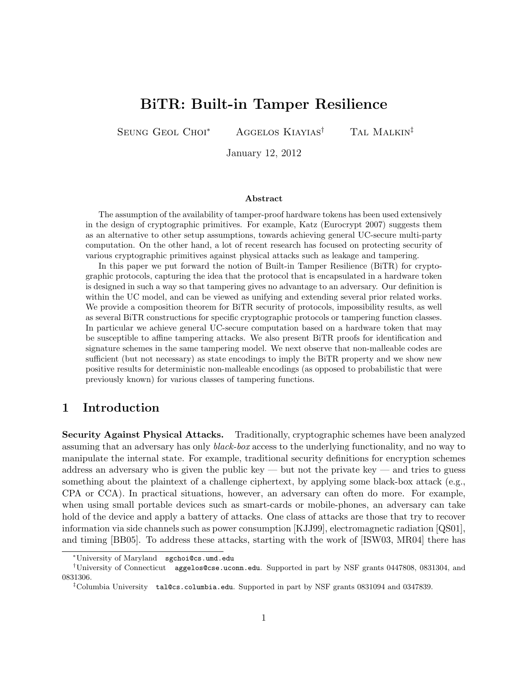# BiTR: Built-in Tamper Resilience

Seung Geol Choi<sup>∗</sup> Aggelos Kiayias† Tal Malkin‡

January 12, 2012

#### Abstract

The assumption of the availability of tamper-proof hardware tokens has been used extensively in the design of cryptographic primitives. For example, Katz (Eurocrypt 2007) suggests them as an alternative to other setup assumptions, towards achieving general UC-secure multi-party computation. On the other hand, a lot of recent research has focused on protecting security of various cryptographic primitives against physical attacks such as leakage and tampering.

In this paper we put forward the notion of Built-in Tamper Resilience (BiTR) for cryptographic protocols, capturing the idea that the protocol that is encapsulated in a hardware token is designed in such a way so that tampering gives no advantage to an adversary. Our definition is within the UC model, and can be viewed as unifying and extending several prior related works. We provide a composition theorem for BiTR security of protocols, impossibility results, as well as several BiTR constructions for specific cryptographic protocols or tampering function classes. In particular we achieve general UC-secure computation based on a hardware token that may be susceptible to affine tampering attacks. We also present BiTR proofs for identification and signature schemes in the same tampering model. We next observe that non-malleable codes are sufficient (but not necessary) as state encodings to imply the BiTR property and we show new positive results for deterministic non-malleable encodings (as opposed to probabilistic that were previously known) for various classes of tampering functions.

# 1 Introduction

Security Against Physical Attacks. Traditionally, cryptographic schemes have been analyzed assuming that an adversary has only black-box access to the underlying functionality, and no way to manipulate the internal state. For example, traditional security definitions for encryption schemes address an adversary who is given the public key — but not the private key — and tries to guess something about the plaintext of a challenge ciphertext, by applying some black-box attack (e.g., CPA or CCA). In practical situations, however, an adversary can often do more. For example, when using small portable devices such as smart-cards or mobile-phones, an adversary can take hold of the device and apply a battery of attacks. One class of attacks are those that try to recover information via side channels such as power consumption [KJJ99], electromagnetic radiation [QS01], and timing [BB05]. To address these attacks, starting with the work of [ISW03, MR04] there has

<sup>∗</sup>University of Maryland sgchoi@cs.umd.edu

<sup>†</sup>University of Connecticut aggelos@cse.uconn.edu. Supported in part by NSF grants 0447808, 0831304, and 0831306.

<sup>‡</sup>Columbia University tal@cs.columbia.edu. Supported in part by NSF grants 0831094 and 0347839.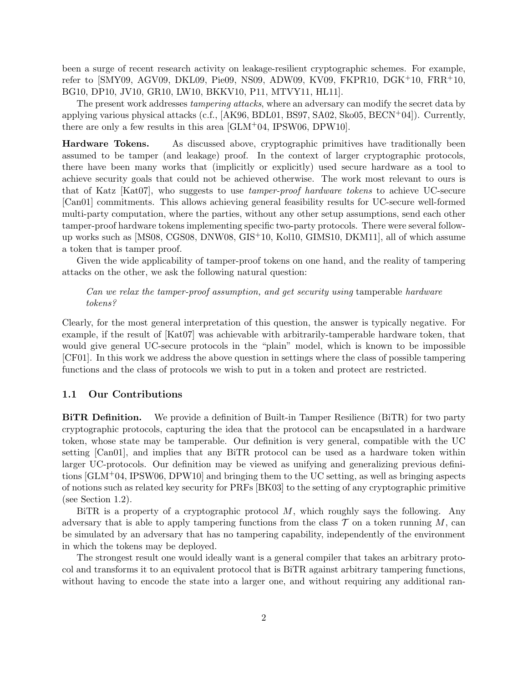been a surge of recent research activity on leakage-resilient cryptographic schemes. For example, refer to [SMY09, AGV09, DKL09, Pie09, NS09, ADW09, KV09, FKPR10, DGK+10, FRR+10, BG10, DP10, JV10, GR10, LW10, BKKV10, P11, MTVY11, HL11].

The present work addresses *tampering attacks*, where an adversary can modify the secret data by applying various physical attacks (c.f.,  $[AK96, BDL01, B597, SA02, Sk005, BECN<sup>+</sup>04]$ ). Currently, there are only a few results in this area [GLM+04, IPSW06, DPW10].

Hardware Tokens. As discussed above, cryptographic primitives have traditionally been assumed to be tamper (and leakage) proof. In the context of larger cryptographic protocols, there have been many works that (implicitly or explicitly) used secure hardware as a tool to achieve security goals that could not be achieved otherwise. The work most relevant to ours is that of Katz  $[Kat07]$ , who suggests to use *tamper-proof hardware tokens* to achieve UC-secure [Can01] commitments. This allows achieving general feasibility results for UC-secure well-formed multi-party computation, where the parties, without any other setup assumptions, send each other tamper-proof hardware tokens implementing specific two-party protocols. There were several followup works such as [MS08, CGS08, DNW08, GIS+10, Kol10, GIMS10, DKM11], all of which assume a token that is tamper proof.

Given the wide applicability of tamper-proof tokens on one hand, and the reality of tampering attacks on the other, we ask the following natural question:

# Can we relax the tamper-proof assumption, and get security using tamperable hardware tokens?

Clearly, for the most general interpretation of this question, the answer is typically negative. For example, if the result of [Kat07] was achievable with arbitrarily-tamperable hardware token, that would give general UC-secure protocols in the "plain" model, which is known to be impossible [CF01]. In this work we address the above question in settings where the class of possible tampering functions and the class of protocols we wish to put in a token and protect are restricted.

# 1.1 Our Contributions

BiTR Definition. We provide a definition of Built-in Tamper Resilience (BiTR) for two party cryptographic protocols, capturing the idea that the protocol can be encapsulated in a hardware token, whose state may be tamperable. Our definition is very general, compatible with the UC setting [Can01], and implies that any BiTR protocol can be used as a hardware token within larger UC-protocols. Our definition may be viewed as unifying and generalizing previous definitions [GLM+04, IPSW06, DPW10] and bringing them to the UC setting, as well as bringing aspects of notions such as related key security for PRFs [BK03] to the setting of any cryptographic primitive (see Section 1.2).

BiTR is a property of a cryptographic protocol  $M$ , which roughly says the following. Any adversary that is able to apply tampering functions from the class  $\mathcal T$  on a token running  $M$ , can be simulated by an adversary that has no tampering capability, independently of the environment in which the tokens may be deployed.

The strongest result one would ideally want is a general compiler that takes an arbitrary protocol and transforms it to an equivalent protocol that is BiTR against arbitrary tampering functions, without having to encode the state into a larger one, and without requiring any additional ran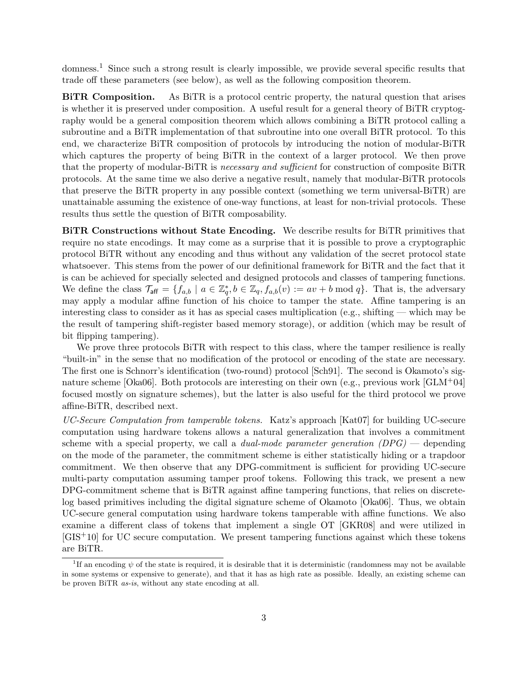domness.<sup>1</sup> Since such a strong result is clearly impossible, we provide several specific results that trade off these parameters (see below), as well as the following composition theorem.

BiTR Composition. As BiTR is a protocol centric property, the natural question that arises is whether it is preserved under composition. A useful result for a general theory of BiTR cryptography would be a general composition theorem which allows combining a BiTR protocol calling a subroutine and a BiTR implementation of that subroutine into one overall BiTR protocol. To this end, we characterize BiTR composition of protocols by introducing the notion of modular-BiTR which captures the property of being BiTR in the context of a larger protocol. We then prove that the property of modular-BiTR is necessary and sufficient for construction of composite BiTR protocols. At the same time we also derive a negative result, namely that modular-BiTR protocols that preserve the BiTR property in any possible context (something we term universal-BiTR) are unattainable assuming the existence of one-way functions, at least for non-trivial protocols. These results thus settle the question of BiTR composability.

BiTR Constructions without State Encoding. We describe results for BiTR primitives that require no state encodings. It may come as a surprise that it is possible to prove a cryptographic protocol BiTR without any encoding and thus without any validation of the secret protocol state whatsoever. This stems from the power of our definitional framework for BiTR and the fact that it is can be achieved for specially selected and designed protocols and classes of tampering functions. We define the class  $\mathcal{T}_{\text{aff}} = \{f_{a,b} \mid a \in \mathbb{Z}_q^*, b \in \mathbb{Z}_q, f_{a,b}(v) := av + b \mod q\}$ . That is, the adversary may apply a modular affine function of his choice to tamper the state. Affine tampering is an interesting class to consider as it has as special cases multiplication (e.g., shifting — which may be the result of tampering shift-register based memory storage), or addition (which may be result of bit flipping tampering).

We prove three protocols BiTR with respect to this class, where the tamper resilience is really "built-in" in the sense that no modification of the protocol or encoding of the state are necessary. The first one is Schnorr's identification (two-round) protocol [Sch91]. The second is Okamoto's signature scheme [Oka06]. Both protocols are interesting on their own (e.g., previous work [GLM+04] focused mostly on signature schemes), but the latter is also useful for the third protocol we prove affine-BiTR, described next.

UC-Secure Computation from tamperable tokens. Katz's approach [Kat07] for building UC-secure computation using hardware tokens allows a natural generalization that involves a commitment scheme with a special property, we call a *dual-mode parameter generation*  $(DPG)$  — depending on the mode of the parameter, the commitment scheme is either statistically hiding or a trapdoor commitment. We then observe that any DPG-commitment is sufficient for providing UC-secure multi-party computation assuming tamper proof tokens. Following this track, we present a new DPG-commitment scheme that is BiTR against affine tampering functions, that relies on discretelog based primitives including the digital signature scheme of Okamoto [Oka06]. Thus, we obtain UC-secure general computation using hardware tokens tamperable with affine functions. We also examine a different class of tokens that implement a single OT [GKR08] and were utilized in [GIS+10] for UC secure computation. We present tampering functions against which these tokens are BiTR.

<sup>&</sup>lt;sup>1</sup>If an encoding  $\psi$  of the state is required, it is desirable that it is deterministic (randomness may not be available in some systems or expensive to generate), and that it has as high rate as possible. Ideally, an existing scheme can be proven BiTR as-is, without any state encoding at all.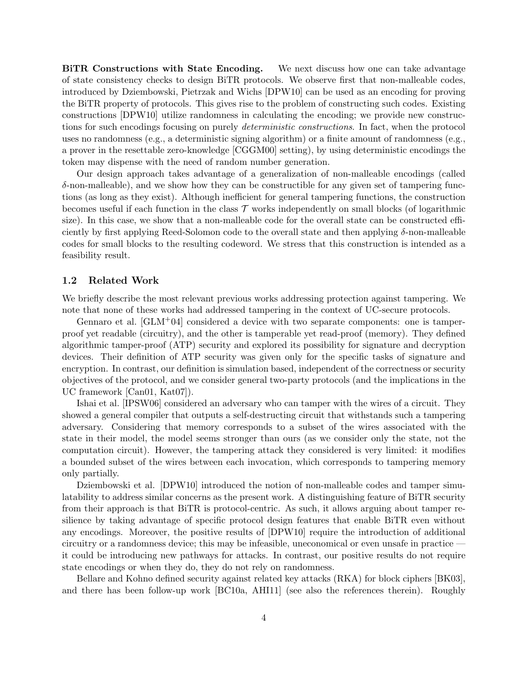BiTR Constructions with State Encoding. We next discuss how one can take advantage of state consistency checks to design BiTR protocols. We observe first that non-malleable codes, introduced by Dziembowski, Pietrzak and Wichs [DPW10] can be used as an encoding for proving the BiTR property of protocols. This gives rise to the problem of constructing such codes. Existing constructions [DPW10] utilize randomness in calculating the encoding; we provide new constructions for such encodings focusing on purely deterministic constructions. In fact, when the protocol uses no randomness (e.g., a deterministic signing algorithm) or a finite amount of randomness (e.g., a prover in the resettable zero-knowledge [CGGM00] setting), by using deterministic encodings the token may dispense with the need of random number generation.

Our design approach takes advantage of a generalization of non-malleable encodings (called  $\delta$ -non-malleable), and we show how they can be constructible for any given set of tampering functions (as long as they exist). Although inefficient for general tampering functions, the construction becomes useful if each function in the class  $\mathcal T$  works independently on small blocks (of logarithmic size). In this case, we show that a non-malleable code for the overall state can be constructed efficiently by first applying Reed-Solomon code to the overall state and then applying δ-non-malleable codes for small blocks to the resulting codeword. We stress that this construction is intended as a feasibility result.

### 1.2 Related Work

We briefly describe the most relevant previous works addressing protection against tampering. We note that none of these works had addressed tampering in the context of UC-secure protocols.

Gennaro et al.  $[GLM+04]$  considered a device with two separate components: one is tamperproof yet readable (circuitry), and the other is tamperable yet read-proof (memory). They defined algorithmic tamper-proof (ATP) security and explored its possibility for signature and decryption devices. Their definition of ATP security was given only for the specific tasks of signature and encryption. In contrast, our definition is simulation based, independent of the correctness or security objectives of the protocol, and we consider general two-party protocols (and the implications in the UC framework [Can01, Kat07]).

Ishai et al. [IPSW06] considered an adversary who can tamper with the wires of a circuit. They showed a general compiler that outputs a self-destructing circuit that withstands such a tampering adversary. Considering that memory corresponds to a subset of the wires associated with the state in their model, the model seems stronger than ours (as we consider only the state, not the computation circuit). However, the tampering attack they considered is very limited: it modifies a bounded subset of the wires between each invocation, which corresponds to tampering memory only partially.

Dziembowski et al. [DPW10] introduced the notion of non-malleable codes and tamper simulatability to address similar concerns as the present work. A distinguishing feature of BiTR security from their approach is that BiTR is protocol-centric. As such, it allows arguing about tamper resilience by taking advantage of specific protocol design features that enable BiTR even without any encodings. Moreover, the positive results of [DPW10] require the introduction of additional circuitry or a randomness device; this may be infeasible, uneconomical or even unsafe in practice it could be introducing new pathways for attacks. In contrast, our positive results do not require state encodings or when they do, they do not rely on randomness.

Bellare and Kohno defined security against related key attacks (RKA) for block ciphers [BK03], and there has been follow-up work [BC10a, AHI11] (see also the references therein). Roughly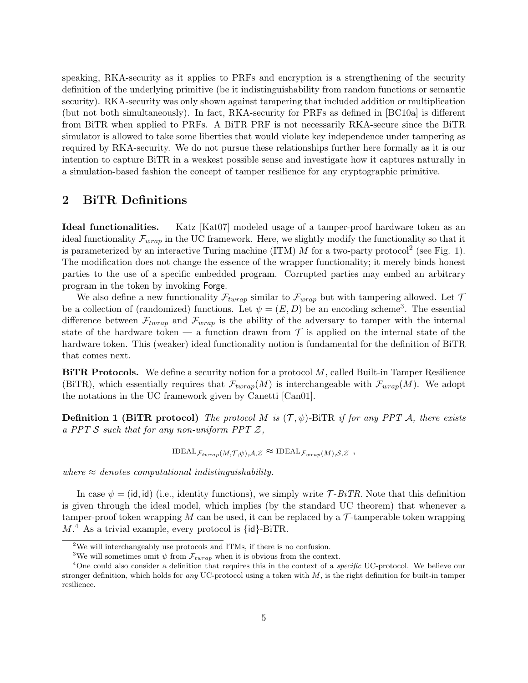speaking, RKA-security as it applies to PRFs and encryption is a strengthening of the security definition of the underlying primitive (be it indistinguishability from random functions or semantic security). RKA-security was only shown against tampering that included addition or multiplication (but not both simultaneously). In fact, RKA-security for PRFs as defined in [BC10a] is different from BiTR when applied to PRFs. A BiTR PRF is not necessarily RKA-secure since the BiTR simulator is allowed to take some liberties that would violate key independence under tampering as required by RKA-security. We do not pursue these relationships further here formally as it is our intention to capture BiTR in a weakest possible sense and investigate how it captures naturally in a simulation-based fashion the concept of tamper resilience for any cryptographic primitive.

# 2 BiTR Definitions

Ideal functionalities. Katz [Kat07] modeled usage of a tamper-proof hardware token as an ideal functionality  $\mathcal{F}_{wrap}$  in the UC framework. Here, we slightly modify the functionality so that it is parameterized by an interactive Turing machine (ITM)  $M$  for a two-party protocol<sup>2</sup> (see Fig. 1). The modification does not change the essence of the wrapper functionality; it merely binds honest parties to the use of a specific embedded program. Corrupted parties may embed an arbitrary program in the token by invoking Forge.

We also define a new functionality  $\mathcal{F}_{twrap}$  similar to  $\mathcal{F}_{wrap}$  but with tampering allowed. Let  $\mathcal{T}$ be a collection of (randomized) functions. Let  $\psi = (E, D)$  be an encoding scheme<sup>3</sup>. The essential difference between  $\mathcal{F}_{twrap}$  and  $\mathcal{F}_{wrap}$  is the ability of the adversary to tamper with the internal state of the hardware token — a function drawn from  $\mathcal T$  is applied on the internal state of the hardware token. This (weaker) ideal functionality notion is fundamental for the definition of BiTR that comes next.

**BiTR Protocols.** We define a security notion for a protocol  $M$ , called Built-in Tamper Resilience (BiTR), which essentially requires that  $\mathcal{F}_{twin}(M)$  is interchangeable with  $\mathcal{F}_{wrap}(M)$ . We adopt the notations in the UC framework given by Canetti [Can01].

**Definition 1 (BiTR protocol)** The protocol M is  $(\mathcal{T}, \psi)$ -BiTR if for any PPT A, there exists a PPT  $S$  such that for any non-uniform PPT  $\mathcal{Z}$ ,

IDEAL $\mathcal{F}_{turnap}(M,\mathcal{T},\psi),\mathcal{A},\mathcal{Z} \approx \text{IDEAL}_{\mathcal{F}_{wrap}(M),\mathcal{S},\mathcal{Z}}$ ,

where  $\approx$  denotes computational indistinguishability.

In case  $\psi = (\mathsf{id}, \mathsf{id})$  (i.e., identity functions), we simply write  $\mathcal{T}\text{-}BiTR$ . Note that this definition is given through the ideal model, which implies (by the standard UC theorem) that whenever a tamper-proof token wrapping M can be used, it can be replaced by a  $\mathcal T$ -tamperable token wrapping  $M<sup>4</sup>$  As a trivial example, every protocol is  $\{id\}$ -BiTR.

<sup>2</sup>We will interchangeably use protocols and ITMs, if there is no confusion.

<sup>&</sup>lt;sup>3</sup>We will sometimes omit  $\psi$  from  $\mathcal{F}_{twrap}$  when it is obvious from the context.

<sup>&</sup>lt;sup>4</sup>One could also consider a definition that requires this in the context of a *specific* UC-protocol. We believe our stronger definition, which holds for any UC-protocol using a token with  $M$ , is the right definition for built-in tamper resilience.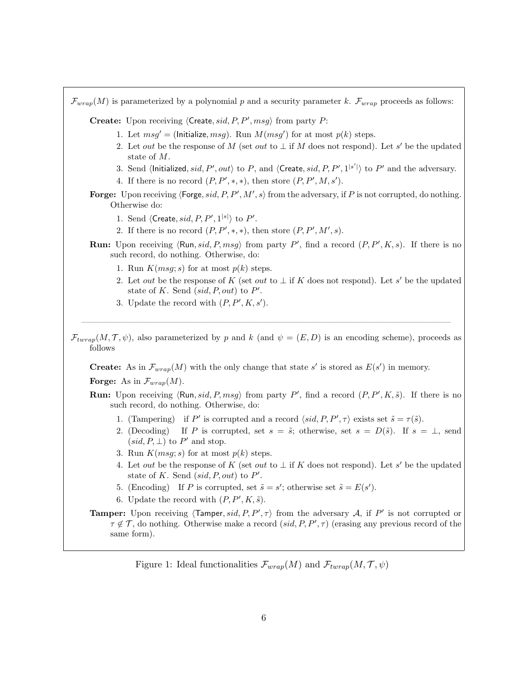1. Let  $msg' = (Initialize, msg)$ . Run  $M(msg')$  for at most  $p(k)$  steps. 2. Let *out* be the response of M (set *out* to  $\perp$  if M does not respond). Let s' be the updated state of M. 3. Send (Initialized, sid, P', out) to P, and (Create, sid, P, P',  $1^{|s'|}$ ) to P' and the adversary. 4. If there is no record  $(P, P', *, *),$  then store  $(P, P', M, s').$ Forge: Upon receiving  $\langle$  Forge, sid, P, P', M', s $\rangle$  from the adversary, if P is not corrupted, do nothing. Otherwise do: 1. Send  $\langle$ Create, sid, P, P', 1<sup>|s|</sup> $\rangle$  to P'. 2. If there is no record  $(P, P', *, *),$  then store  $(P, P', M', s)$ . **Run:** Upon receiving  $\langle \text{Run}, \text{sid}, P, \text{msg} \rangle$  from party P', find a record  $(P, P', K, s)$ . If there is no such record, do nothing. Otherwise, do: 1. Run  $K(msq; s)$  for at most  $p(k)$  steps. 2. Let *out* be the response of K (set *out* to  $\perp$  if K does not respond). Let s' be the updated state of K. Send  $(sid, P, out)$  to P'. 3. Update the record with  $(P, P', K, s')$ . ———————————————————————————————————————————  $\mathcal{F}_{turnan}(M,\mathcal{T},\psi)$ , also parameterized by p and k (and  $\psi = (E,D)$  is an encoding scheme), proceeds as follows **Create:** As in  $\mathcal{F}_{wrap}(M)$  with the only change that state s' is stored as  $E(s')$  in memory. Forge: As in  $\mathcal{F}_{wran}(M)$ . **Run:** Upon receiving  $\langle \text{Run}, \text{sid}, P, \text{msg} \rangle$  from party P', find a record  $(P, P', K, \tilde{s})$ . If there is no such record, do nothing. Otherwise, do: 1. (Tampering) if P' is corrupted and a record  $\langle sid, P, P', \tau \rangle$  exists set  $\tilde{s} = \tau(\tilde{s})$ . 2. (Decoding) If P is corrupted, set  $s = \tilde{s}$ ; otherwise, set  $s = D(\tilde{s})$ . If  $s = \perp$ , send  $(sid, P, \perp)$  to P' and stop. 3. Run  $K(msq; s)$  for at most  $p(k)$  steps.

 $\mathcal{F}_{wrap}(M)$  is parameterized by a polynomial p and a security parameter k.  $\mathcal{F}_{wrap}$  proceeds as follows:

**Create:** Upon receiving  $\langle$  Create, sid, P, P', msg) from party P:

- 4. Let *out* be the response of K (set *out* to  $\perp$  if K does not respond). Let s' be the updated state of K. Send  $(sid, P, out)$  to P'.
- 5. (Encoding) If P is corrupted, set  $\tilde{s} = s'$ ; otherwise set  $\tilde{s} = E(s')$ .
- 6. Update the record with  $(P, P', K, \tilde{s})$ .
- **Tamper:** Upon receiving  $\langle$ Tamper, sid, P, P',  $\tau$ ) from the adversary A, if P' is not corrupted or  $\tau \notin \mathcal{T}$ , do nothing. Otherwise make a record  $(sid, P, P', \tau)$  (erasing any previous record of the same form).

Figure 1: Ideal functionalities  $\mathcal{F}_{wrap}(M)$  and  $\mathcal{F}_{twrap}(M, \mathcal{T}, \psi)$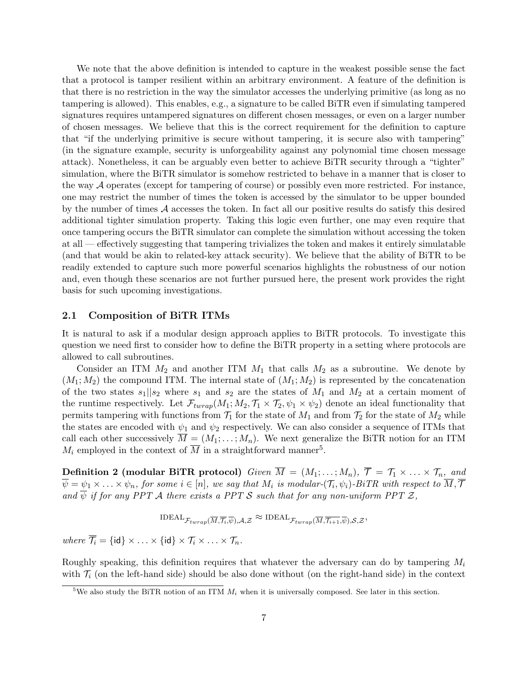We note that the above definition is intended to capture in the weakest possible sense the fact that a protocol is tamper resilient within an arbitrary environment. A feature of the definition is that there is no restriction in the way the simulator accesses the underlying primitive (as long as no tampering is allowed). This enables, e.g., a signature to be called BiTR even if simulating tampered signatures requires untampered signatures on different chosen messages, or even on a larger number of chosen messages. We believe that this is the correct requirement for the definition to capture that "if the underlying primitive is secure without tampering, it is secure also with tampering" (in the signature example, security is unforgeability against any polynomial time chosen message attack). Nonetheless, it can be arguably even better to achieve BiTR security through a "tighter" simulation, where the BiTR simulator is somehow restricted to behave in a manner that is closer to the way  $A$  operates (except for tampering of course) or possibly even more restricted. For instance, one may restrict the number of times the token is accessed by the simulator to be upper bounded by the number of times  $A$  accesses the token. In fact all our positive results do satisfy this desired additional tighter simulation property. Taking this logic even further, one may even require that once tampering occurs the BiTR simulator can complete the simulation without accessing the token at all — effectively suggesting that tampering trivializes the token and makes it entirely simulatable (and that would be akin to related-key attack security). We believe that the ability of BiTR to be readily extended to capture such more powerful scenarios highlights the robustness of our notion and, even though these scenarios are not further pursued here, the present work provides the right basis for such upcoming investigations.

### 2.1 Composition of BiTR ITMs

It is natural to ask if a modular design approach applies to BiTR protocols. To investigate this question we need first to consider how to define the BiTR property in a setting where protocols are allowed to call subroutines.

Consider an ITM  $M_2$  and another ITM  $M_1$  that calls  $M_2$  as a subroutine. We denote by  $(M_1; M_2)$  the compound ITM. The internal state of  $(M_1; M_2)$  is represented by the concatenation of the two states  $s_1||s_2$  where  $s_1$  and  $s_2$  are the states of  $M_1$  and  $M_2$  at a certain moment of the runtime respectively. Let  $\mathcal{F}_{turnap}(M_1; M_2, \mathcal{T}_1 \times \mathcal{T}_2, \psi_1 \times \psi_2)$  denote an ideal functionality that permits tampering with functions from  $\mathcal{T}_1$  for the state of  $M_1$  and from  $\mathcal{T}_2$  for the state of  $M_2$  while the states are encoded with  $\psi_1$  and  $\psi_2$  respectively. We can also consider a sequence of ITMs that call each other successively  $\overline{M} = (M_1; \ldots; M_n)$ . We next generalize the BiTR notion for an ITM  $M_i$  employed in the context of  $\overline{M}$  in a straightforward manner<sup>5</sup>.

**Definition 2 (modular BiTR protocol)** Given  $\overline{M} = (M_1; \ldots; M_n)$ ,  $\overline{\mathcal{T}} = \mathcal{T}_1 \times \ldots \times \mathcal{T}_n$ , and  $\overline{\psi}=\psi_1\times\ldots\times\psi_n,$  for some  $i\in [n],$  we say that  $M_i$  is modular- $(\mathcal{T}_i,\psi_i)$ -BiTR with respect to  $\overline{M},\overline{\mathcal{T}}$ and  $\overline{\psi}$  if for any PPT A there exists a PPT S such that for any non-uniform PPT Z,

$$
\text{IDEAL}_{\mathcal{F}_{twrap}(\overline{M}, \overline{\mathcal{T}}_i, \overline{\psi}), \mathcal{A}, \mathcal{Z}} \approx \text{IDEAL}_{\mathcal{F}_{twrap}(\overline{M}, \overline{\mathcal{T}_{i+1}}, \overline{\psi}), \mathcal{S}, \mathcal{Z}},
$$

where  $\overline{\mathcal{T}_i} = \{\text{id}\}\times\ldots\times\{\text{id}\}\times\mathcal{T}_i\times\ldots\times\mathcal{T}_n$ .

Roughly speaking, this definition requires that whatever the adversary can do by tampering  $M_i$ with  $\mathcal{T}_i$  (on the left-hand side) should be also done without (on the right-hand side) in the context

<sup>&</sup>lt;sup>5</sup>We also study the BiTR notion of an ITM  $M_i$  when it is universally composed. See later in this section.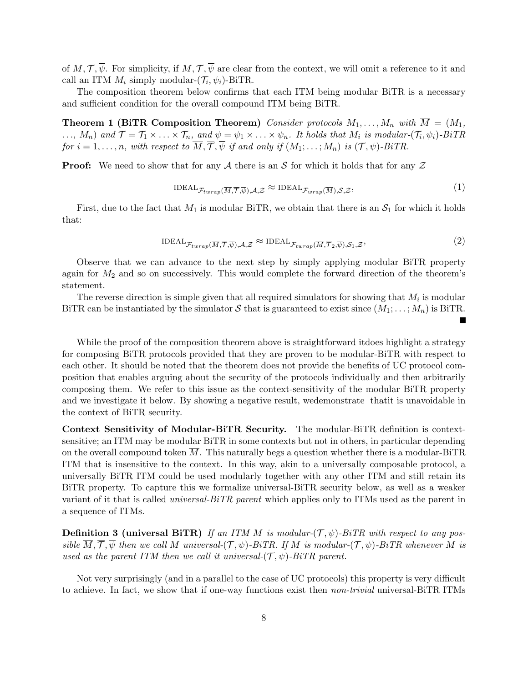of  $\overline{M}, \overline{\mathcal{T}}, \overline{\psi}$ . For simplicity, if  $\overline{M}, \overline{\mathcal{T}}, \overline{\psi}$  are clear from the context, we will omit a reference to it and call an ITM  $M_i$  simply modular- $(\mathcal{T}_i, \psi_i)$ -BiTR.

The composition theorem below confirms that each ITM being modular BiTR is a necessary and sufficient condition for the overall compound ITM being BiTR.

**Theorem 1 (BiTR Composition Theorem)** Consider protocols  $M_1, \ldots, M_n$  with  $\overline{M} = (M_1, \ldots, M_n)$  $\ldots, M_n)$  and  $\mathcal{T} = \mathcal{T}_1 \times \ldots \times \mathcal{T}_n$ , and  $\psi = \psi_1 \times \ldots \times \psi_n$ . It holds that  $M_i$  is modular- $(\mathcal{T}_i, \psi_i)$ -BiTR for  $i = 1, \ldots, n$ , with respect to  $\overline{M}, \overline{\mathcal{T}}, \overline{\psi}$  if and only if  $(M_1; \ldots; M_n)$  is  $(\mathcal{T}, \psi)$ -BiTR.

**Proof:** We need to show that for any A there is an S for which it holds that for any Z

$$
IDEAL_{\mathcal{F}_{turnap}(\overline{M}, \overline{\mathcal{T}}, \overline{\psi}), \mathcal{A}, \mathcal{Z}} \approx IDEAL_{\mathcal{F}_{wrap}(\overline{M}), \mathcal{S}, \mathcal{Z}},
$$
\n
$$
(1)
$$

First, due to the fact that  $M_1$  is modular BiTR, we obtain that there is an  $S_1$  for which it holds that:

$$
IDEAL_{\mathcal{F}_{turnap}(\overline{M}, \overline{\mathcal{T}}, \overline{\psi}), \mathcal{A}, \mathcal{Z}} \approx IDEAL_{\mathcal{F}_{turnap}(\overline{M}, \overline{\mathcal{T}}_2, \overline{\psi}), \mathcal{S}_1, \mathcal{Z}},\tag{2}
$$

**The Second Service** 

Observe that we can advance to the next step by simply applying modular BiTR property again for  $M_2$  and so on successively. This would complete the forward direction of the theorem's statement.

The reverse direction is simple given that all required simulators for showing that  $M_i$  is modular BiTR can be instantiated by the simulator S that is guaranteed to exist since  $(M_1; \ldots; M_n)$  is BiTR.

While the proof of the composition theorem above is straightforward itdoes highlight a strategy for composing BiTR protocols provided that they are proven to be modular-BiTR with respect to each other. It should be noted that the theorem does not provide the benefits of UC protocol composition that enables arguing about the security of the protocols individually and then arbitrarily composing them. We refer to this issue as the context-sensitivity of the modular BiTR property and we investigate it below. By showing a negative result, wedemonstrate thatit is unavoidable in the context of BiTR security.

Context Sensitivity of Modular-BiTR Security. The modular-BiTR definition is contextsensitive; an ITM may be modular BiTR in some contexts but not in others, in particular depending on the overall compound token  $M$ . This naturally begs a question whether there is a modular-BiTR ITM that is insensitive to the context. In this way, akin to a universally composable protocol, a universally BiTR ITM could be used modularly together with any other ITM and still retain its BiTR property. To capture this we formalize universal-BiTR security below, as well as a weaker variant of it that is called *universal-BiTR parent* which applies only to ITMs used as the parent in a sequence of ITMs.

**Definition 3 (universal BiTR)** If an ITM M is modular- $(\mathcal{T}, \psi)$ -BiTR with respect to any possible  $\overline{M}, \overline{\mathcal{T}}, \overline{\psi}$  then we call M universal- $(\mathcal{T}, \psi)$ -BiTR. If M is modular- $(\mathcal{T}, \psi)$ -BiTR whenever M is used as the parent ITM then we call it universal- $(\mathcal{T}, \psi)$ -BiTR parent.

Not very surprisingly (and in a parallel to the case of UC protocols) this property is very difficult to achieve. In fact, we show that if one-way functions exist then *non-trivial* universal-BITR ITMs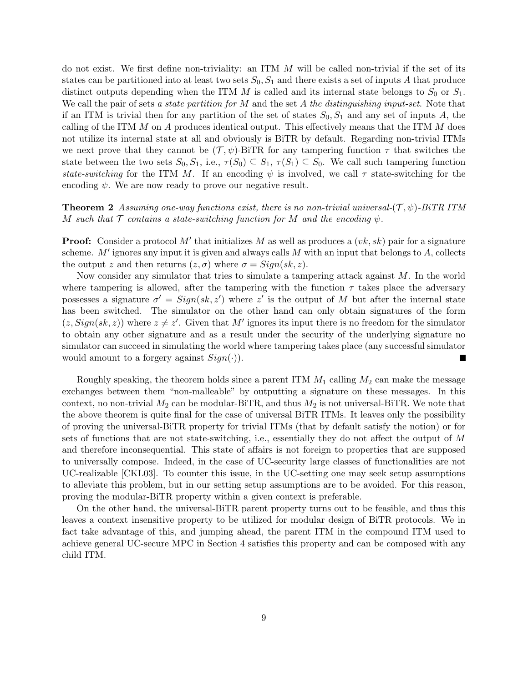do not exist. We first define non-triviality: an ITM M will be called non-trivial if the set of its states can be partitioned into at least two sets  $S_0, S_1$  and there exists a set of inputs A that produce distinct outputs depending when the ITM M is called and its internal state belongs to  $S_0$  or  $S_1$ . We call the pair of sets a state partition for M and the set A the distinguishing input-set. Note that if an ITM is trivial then for any partition of the set of states  $S_0, S_1$  and any set of inputs A, the calling of the ITM  $M$  on  $A$  produces identical output. This effectively means that the ITM  $M$  does not utilize its internal state at all and obviously is BiTR by default. Regarding non-trivial ITMs we next prove that they cannot be  $(\mathcal{T}, \psi)$ -BiTR for any tampering function  $\tau$  that switches the state between the two sets  $S_0, S_1$ , i.e.,  $\tau(S_0) \subseteq S_1$ ,  $\tau(S_1) \subseteq S_0$ . We call such tampering function state-switching for the ITM M. If an encoding  $\psi$  is involved, we call  $\tau$  state-switching for the encoding  $\psi$ . We are now ready to prove our negative result.

# **Theorem 2** Assuming one-way functions exist, there is no non-trivial universal- $(\mathcal{T}, \psi)$ -BiTR ITM M such that  $\mathcal T$  contains a state-switching function for M and the encoding  $\psi$ .

**Proof:** Consider a protocol M' that initializes M as well as produces a  $(vk, sk)$  pair for a signature scheme. M' ignores any input it is given and always calls M with an input that belongs to A, collects the output z and then returns  $(z, \sigma)$  where  $\sigma = Sign(sk, z)$ .

Now consider any simulator that tries to simulate a tampering attack against M. In the world where tampering is allowed, after the tampering with the function  $\tau$  takes place the adversary possesses a signature  $\sigma' = Sign(sk, z')$  where z' is the output of M but after the internal state has been switched. The simulator on the other hand can only obtain signatures of the form  $(z, Sign(sk, z))$  where  $z \neq z'$ . Given that M' ignores its input there is no freedom for the simulator to obtain any other signature and as a result under the security of the underlying signature no simulator can succeed in simulating the world where tampering takes place (any successful simulator would amount to a forgery against  $Sign(\cdot)$ . ш

Roughly speaking, the theorem holds since a parent ITM  $M_1$  calling  $M_2$  can make the message exchanges between them "non-malleable" by outputting a signature on these messages. In this context, no non-trivial  $M_2$  can be modular-BiTR, and thus  $M_2$  is not universal-BiTR. We note that the above theorem is quite final for the case of universal BiTR ITMs. It leaves only the possibility of proving the universal-BiTR property for trivial ITMs (that by default satisfy the notion) or for sets of functions that are not state-switching, i.e., essentially they do not affect the output of M and therefore inconsequential. This state of affairs is not foreign to properties that are supposed to universally compose. Indeed, in the case of UC-security large classes of functionalities are not UC-realizable [CKL03]. To counter this issue, in the UC-setting one may seek setup assumptions to alleviate this problem, but in our setting setup assumptions are to be avoided. For this reason, proving the modular-BiTR property within a given context is preferable.

On the other hand, the universal-BiTR parent property turns out to be feasible, and thus this leaves a context insensitive property to be utilized for modular design of BiTR protocols. We in fact take advantage of this, and jumping ahead, the parent ITM in the compound ITM used to achieve general UC-secure MPC in Section 4 satisfies this property and can be composed with any child ITM.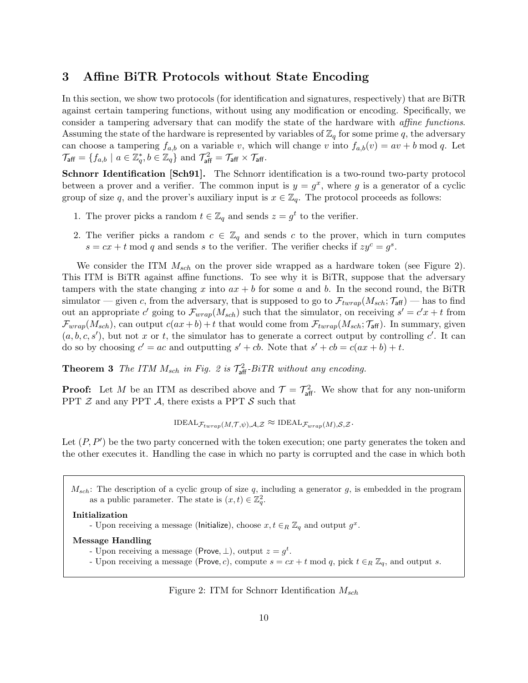# 3 Affine BiTR Protocols without State Encoding

In this section, we show two protocols (for identification and signatures, respectively) that are BiTR against certain tampering functions, without using any modification or encoding. Specifically, we consider a tampering adversary that can modify the state of the hardware with affine functions. Assuming the state of the hardware is represented by variables of  $\mathbb{Z}_q$  for some prime q, the adversary can choose a tampering  $f_{a,b}$  on a variable v, which will change v into  $f_{a,b}(v) = av + b \mod q$ . Let  $\mathcal{T}_{\mathsf{aff}} = \{f_{a,b} \mid a \in \mathbb{Z}_q^*, b \in \mathbb{Z}_q\}$  and  $\mathcal{T}_{\mathsf{aff}}^2 = \mathcal{T}_{\mathsf{aff}} \times \mathcal{T}_{\mathsf{aff}}$ .

Schnorr Identification [Sch91]. The Schnorr identification is a two-round two-party protocol between a prover and a verifier. The common input is  $y = g^x$ , where g is a generator of a cyclic group of size q, and the prover's auxiliary input is  $x \in \mathbb{Z}_q$ . The protocol proceeds as follows:

- 1. The prover picks a random  $t \in \mathbb{Z}_q$  and sends  $z = g^t$  to the verifier.
- 2. The verifier picks a random  $c \in \mathbb{Z}_q$  and sends c to the prover, which in turn computes  $s = cx + t \mod q$  and sends s to the verifier. The verifier checks if  $zy^c = g^s$ .

We consider the ITM  $M_{sch}$  on the prover side wrapped as a hardware token (see Figure 2). This ITM is BiTR against affine functions. To see why it is BiTR, suppose that the adversary tampers with the state changing x into  $ax + b$  for some a and b. In the second round, the BiTR simulator — given c, from the adversary, that is supposed to go to  $\mathcal{F}_{twrap}(M_{sch}; \mathcal{T}_{aff})$  — has to find out an appropriate c' going to  $\mathcal{F}_{wrap}(M_{sch})$  such that the simulator, on receiving  $s' = c'x + t$  from  $\mathcal{F}_{wrap}(M_{sch})$ , can output  $c(ax+b)+t$  that would come from  $\mathcal{F}_{twrap}(M_{sch};\mathcal{T}_{aff})$ . In summary, given  $(a, b, c, s')$ , but not x or t, the simulator has to generate a correct output by controlling c'. It can do so by choosing  $c' = ac$  and outputting  $s' + cb$ . Note that  $s' + cb = c(ax + b) + t$ .

**Theorem 3** The ITM  $M_{sch}$  in Fig. 2 is  $\mathcal{T}_{\text{aff}}^2$ -BiTR without any encoding.

**Proof:** Let M be an ITM as described above and  $\mathcal{T} = \mathcal{T}_{\text{aff}}^2$ . We show that for any non-uniform PPT  $\mathcal Z$  and any PPT  $\mathcal A$ , there exists a PPT  $\mathcal S$  such that

$$
\text{IDEAL}_{\mathcal{F}_{\text{turnap}}(M, \mathcal{T}, \psi), \mathcal{A}, \mathcal{Z}} \approx \text{IDEAL}_{\mathcal{F}_{\text{wrap}}(M), \mathcal{S}, \mathcal{Z}}.
$$

Let  $(P, P')$  be the two party concerned with the token execution; one party generates the token and the other executes it. Handling the case in which no party is corrupted and the case in which both

 $M_{sch}$ : The description of a cyclic group of size q, including a generator g, is embedded in the program as a public parameter. The state is  $(x,t) \in \mathbb{Z}_q^2$ .

#### Initialization

- Upon receiving a message (lnitialize), choose  $x, t \in_R \mathbb{Z}_q$  and output  $g^x$ .

#### Message Handling

- Upon receiving a message (Prove,  $\perp$ ), output  $z = g^t$ .
- Upon receiving a message (Prove, c), compute  $s = cx + t \mod q$ , pick  $t \in_R \mathbb{Z}_q$ , and output s.

Figure 2: ITM for Schnorr Identification  $M_{sch}$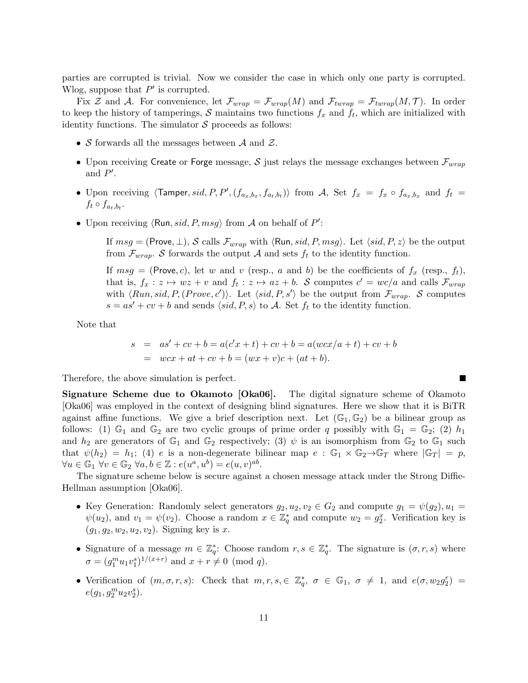parties are corrupted is trivial. Now we consider the case in which only one party is corrupted. Wlog, suppose that  $P'$  is corrupted.

Fix Z and A. For convenience, let  $\mathcal{F}_{wrap} = \mathcal{F}_{wrap}(M)$  and  $\mathcal{F}_{twrap} = \mathcal{F}_{twrap}(M, \mathcal{T})$ . In order to keep the history of tamperings,  $S$  maintains two functions  $f_x$  and  $f_t$ , which are initialized with identity functions. The simulator  $S$  proceeds as follows:

- S forwards all the messages between  $A$  and  $Z$ .
- Upon receiving Create or Forge message, S just relays the message exchanges between  $\mathcal{F}_{wrap}$ and  $P'$ .
- Upon receiving  $\langle$ Tamper, sid, P, P',  $(f_{a_x,b_x}, f_{a_t,b_t})\rangle$  from A, Set  $f_x = f_x \circ f_{a_x,b_x}$  and  $f_t =$  $f_t \circ f_{a_t,b_t}.$
- Upon receiving  $\langle$ Run, sid, P, msg $\rangle$  from A on behalf of P':

If  $msg = (\text{Prove}, \perp), S \text{ calls } \mathcal{F}_{wrap} \text{ with } \langle \text{Run}, sid, P, msg \rangle.$  Let  $\langle sid, P, z \rangle$  be the output from  $\mathcal{F}_{wrap}$ . S forwards the output A and sets  $f_t$  to the identity function.

If  $msg = (Prove, c)$ , let w and v (resp., a and b) be the coefficients of  $f_x$  (resp.,  $f_t$ ), that is,  $f_x: z \mapsto wz + v$  and  $f_t: z \mapsto az + b$ . S computes  $c' = wc/a$  and calls  $\mathcal{F}_{wrap}$ with  $\langle Run, sid, P, (Prove, c')\rangle$ . Let  $\langle sid, P, s'\rangle$  be the output from  $\mathcal{F}_{wrap}$ . S computes  $s = as' + cv + b$  and sends  $\langle sid, P, s \rangle$  to A. Set  $f_t$  to the identity function.

ш

Note that

$$
s = as' + cv + b = a(c'x + t) + cv + b = a(wcx/a + t) + cv + b
$$
  
=  $wcx + at + cv + b = (wx + v)c + (at + b).$ 

Therefore, the above simulation is perfect.

Signature Scheme due to Okamoto [Oka06]. The digital signature scheme of Okamoto [Oka06] was employed in the context of designing blind signatures. Here we show that it is BiTR against affine functions. We give a brief description next. Let  $(\mathbb{G}_1, \mathbb{G}_2)$  be a bilinear group as follows: (1)  $\mathbb{G}_1$  and  $\mathbb{G}_2$  are two cyclic groups of prime order q possibly with  $\mathbb{G}_1 = \mathbb{G}_2$ ; (2)  $h_1$ and  $h_2$  are generators of  $\mathbb{G}_1$  and  $\mathbb{G}_2$  respectively; (3)  $\psi$  is an isomorphism from  $\mathbb{G}_2$  to  $\mathbb{G}_1$  such that  $\psi(h_2) = h_1$ ; (4) e is a non-degenerate bilinear map  $e : \mathbb{G}_1 \times \mathbb{G}_2 \rightarrow \mathbb{G}_T$  where  $|\mathbb{G}_T| = p$ ,  $\forall u \in \mathbb{G}_1 \ \forall v \in \mathbb{G}_2 \ \forall a, b \in \mathbb{Z} : e(u^a, u^b) = e(u, v)^{ab}.$ 

The signature scheme below is secure against a chosen message attack under the Strong Diffie-Hellman assumption [Oka06].

- Key Generation: Randomly select generators  $g_2, u_2, v_2 \in G_2$  and compute  $g_1 = \psi(g_2), u_1 =$  $\psi(u_2)$ , and  $v_1 = \psi(v_2)$ . Choose a random  $x \in \mathbb{Z}_q^*$  and compute  $w_2 = g_2^x$ . Verification key is  $(g_1, g_2, w_2, u_2, v_2)$ . Signing key is x.
- Signature of a message  $m \in \mathbb{Z}_q^*$ : Choose random  $r, s \in \mathbb{Z}_q^*$ . The signature is  $(\sigma, r, s)$  where  $\sigma = (g_1^m u_1 v_1^s)^{1/(x+r)}$  and  $x + r \neq 0 \pmod{q}$ .
- Verification of  $(m, \sigma, r, s)$ : Check that  $m, r, s \in \mathbb{Z}_q^*$ ,  $\sigma \in \mathbb{G}_1$ ,  $\sigma \neq 1$ , and  $e(\sigma, w_2 g_2^r)$  $e(g_1, g_2^m u_2 v_2^s).$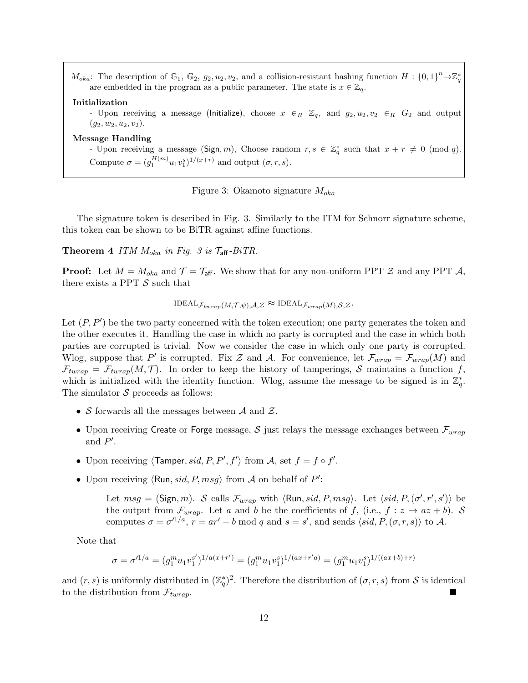$M_{oka}$ : The description of  $\mathbb{G}_1$ ,  $\mathbb{G}_2$ ,  $g_2, u_2, v_2$ , and a collision-resistant hashing function  $H: \{0,1\}^n \rightarrow \mathbb{Z}_q^*$ are embedded in the program as a public parameter. The state is  $x \in \mathbb{Z}_q$ .

#### Initialization

- Upon receiving a message (Initialize), choose  $x \in_R \mathbb{Z}_q$ , and  $g_2, u_2, v_2 \in_R G_2$  and output  $(g_2, w_2, u_2, v_2).$ 

#### Message Handling

- Upon receiving a message (Sign, m), Choose random  $r, s \in \mathbb{Z}_q^*$  such that  $x + r \neq 0 \pmod{q}$ . Compute  $\sigma = (g_1^{H(m)} u_1 v_1^s)^{1/(x+r)}$  and output  $(\sigma, r, s)$ .

Figure 3: Okamoto signature  $M_{oka}$ 

The signature token is described in Fig. 3. Similarly to the ITM for Schnorr signature scheme, this token can be shown to be BiTR against affine functions.

**Theorem 4** ITM  $M_{oka}$  in Fig. 3 is  $\mathcal{T}_{aff}$ -BiTR.

**Proof:** Let  $M = M_{oka}$  and  $\mathcal{T} = \mathcal{T}_{aff}$ . We show that for any non-uniform PPT  $\mathcal{Z}$  and any PPT  $\mathcal{A}$ , there exists a PPT  $S$  such that

$$
\text{IDEAL}_{\mathcal{F}_{\text{turnap}}(M, \mathcal{T}, \psi), \mathcal{A}, \mathcal{Z}} \approx \text{IDEAL}_{\mathcal{F}_{\text{urrap}}(M), \mathcal{S}, \mathcal{Z}}.
$$

Let  $(P, P')$  be the two party concerned with the token execution; one party generates the token and the other executes it. Handling the case in which no party is corrupted and the case in which both parties are corrupted is trivial. Now we consider the case in which only one party is corrupted. Wlog, suppose that P' is corrupted. Fix Z and A. For convenience, let  $\mathcal{F}_{wrap} = \mathcal{F}_{wrap}(M)$  and  $\mathcal{F}_{turnap} = \mathcal{F}_{turnap}(M, \mathcal{T})$ . In order to keep the history of tamperings, S maintains a function f, which is initialized with the identity function. Wlog, assume the message to be signed is in  $\mathbb{Z}_q^*$ . The simulator  $S$  proceeds as follows:

- S forwards all the messages between  $\mathcal A$  and  $\mathcal Z$ .
- Upon receiving Create or Forge message, S just relays the message exchanges between  $\mathcal{F}_{wrap}$ and  $P'$ .
- Upon receiving  $\langle$ Tamper, sid, P, P', f' $\rangle$  from A, set  $f = f \circ f'$ .
- Upon receiving  $\langle$ Run, sid, P, msg $\rangle$  from A on behalf of P':

Let  $msg = (\text{Sign}, m)$ . S calls  $\mathcal{F}_{wrap}$  with  $\langle \text{Run}, sid, P, msg \rangle$ . Let  $\langle sid, P, (\sigma', r', s') \rangle$  be the output from  $\mathcal{F}_{wrap}$ . Let a and b be the coefficients of f, (i.e.,  $f: z \mapsto az + b$ ). S computes  $\sigma = \sigma'^{1/a}$ ,  $r = ar' - b \mod q$  and  $s = s'$ , and sends  $\langle sid, P, (\sigma, r, s) \rangle$  to A.

Note that

$$
\sigma = \sigma'^{1/a} = (g_1^m u_1 v_1^{s'})^{1/a(x+r')} = (g_1^m u_1 v_1^s)^{1/(ax+r'a)} = (g_1^m u_1 v_1^s)^{1/((ax+b)+r)}
$$

and  $(r, s)$  is uniformly distributed in  $(\mathbb{Z}_q^*)^2$ . Therefore the distribution of  $(\sigma, r, s)$  from S is identical to the distribution from  $\mathcal{F}_{twrap}$ .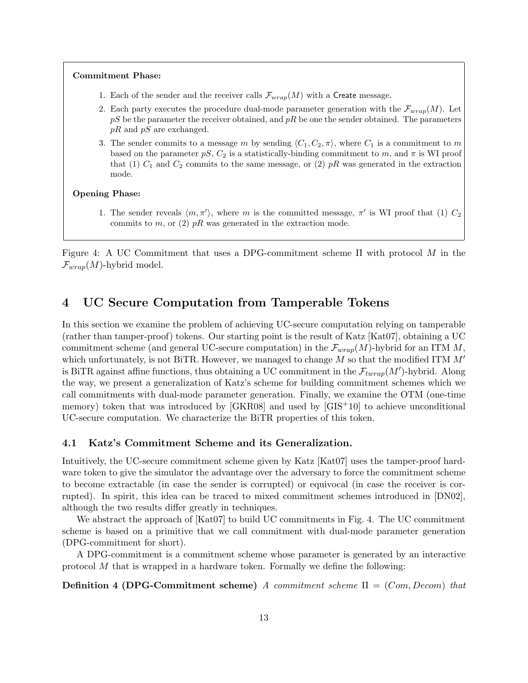#### Commitment Phase:

- 1. Each of the sender and the receiver calls  $\mathcal{F}_{wrap}(M)$  with a Create message.
- 2. Each party executes the procedure dual-mode parameter generation with the  $\mathcal{F}_{wrap}(M)$ . Let  $pS$  be the parameter the receiver obtained, and  $pR$  be one the sender obtained. The parameters  $pR$  and  $pS$  are exchanged.
- 3. The sender commits to a message m by sending  $\langle C_1, C_2, \pi \rangle$ , where  $C_1$  is a commitment to m based on the parameter pS,  $C_2$  is a statistically-binding commitment to m, and  $\pi$  is WI proof that (1)  $C_1$  and  $C_2$  commits to the same message, or (2) pR was generated in the extraction mode.

#### Opening Phase:

1. The sender reveals  $\langle m, \pi' \rangle$ , where m is the committed message,  $\pi'$  is WI proof that (1)  $C_2$ commits to  $m$ , or (2)  $pR$  was generated in the extraction mode.

Figure 4: A UC Commitment that uses a DPG-commitment scheme Π with protocol M in the  $\mathcal{F}_{wrap}(M)$ -hybrid model.

# 4 UC Secure Computation from Tamperable Tokens

In this section we examine the problem of achieving UC-secure computation relying on tamperable (rather than tamper-proof) tokens. Our starting point is the result of Katz [Kat07], obtaining a UC commitment scheme (and general UC-secure computation) in the  $\mathcal{F}_{wrap}(M)$ -hybrid for an ITM M, which unfortunately, is not BiTR. However, we managed to change  $M$  so that the modified ITM  $M'$ is BiTR against affine functions, thus obtaining a UC commitment in the  $\mathcal{F}_{turnap}(M')$ -hybrid. Along the way, we present a generalization of Katz's scheme for building commitment schemes which we call commitments with dual-mode parameter generation. Finally, we examine the OTM (one-time memory) token that was introduced by [GKR08] and used by [GIS+10] to achieve unconditional UC-secure computation. We characterize the BiTR properties of this token.

### 4.1 Katz's Commitment Scheme and its Generalization.

Intuitively, the UC-secure commitment scheme given by Katz [Kat07] uses the tamper-proof hardware token to give the simulator the advantage over the adversary to force the commitment scheme to become extractable (in case the sender is corrupted) or equivocal (in case the receiver is corrupted). In spirit, this idea can be traced to mixed commitment schemes introduced in [DN02], although the two results differ greatly in techniques.

We abstract the approach of [Kat07] to build UC commitments in Fig. 4. The UC commitment scheme is based on a primitive that we call commitment with dual-mode parameter generation (DPG-commitment for short).

A DPG-commitment is a commitment scheme whose parameter is generated by an interactive protocol M that is wrapped in a hardware token. Formally we define the following:

**Definition 4 (DPG-Commitment scheme)** A commitment scheme  $\Pi = (Com, Decom)$  that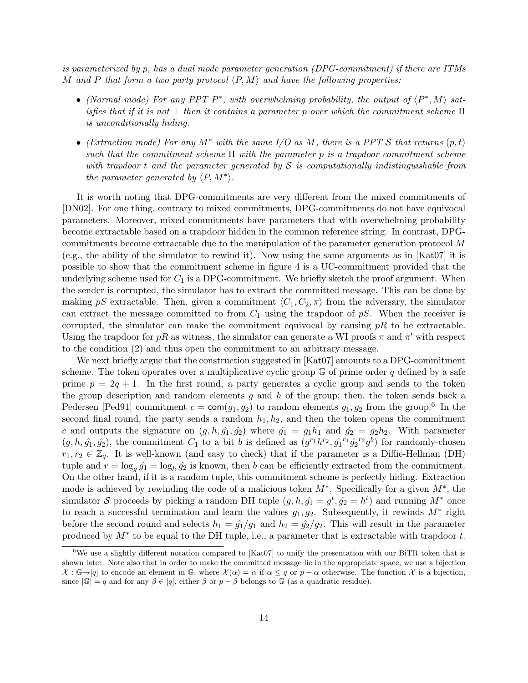is parameterized by p, has a dual mode parameter generation (DPG-commitment) if there are ITMs M and P that form a two party protocol  $\langle P, M \rangle$  and have the following properties:

- (Normal mode) For any PPT  $P^*$ , with overwhelming probability, the output of  $\langle P^*, M \rangle$  satisfies that if it is not  $\perp$  then it contains a parameter p over which the commitment scheme  $\Pi$ is unconditionally hiding.
- (Extraction mode) For any  $M^*$  with the same I/O as M, there is a PPT S that returns  $(p, t)$ such that the commitment scheme  $\Pi$  with the parameter p is a trapdoor commitment scheme with trapdoor t and the parameter generated by  $S$  is computationally indistinguishable from the parameter generated by  $\langle P, M^* \rangle$ .

It is worth noting that DPG-commitments are very different from the mixed commitments of [DN02]. For one thing, contrary to mixed commitments, DPG-commitments do not have equivocal parameters. Moreover, mixed commitments have parameters that with overwhelming probability become extractable based on a trapdoor hidden in the common reference string. In contrast, DPGcommitments become extractable due to the manipulation of the parameter generation protocol M (e.g., the ability of the simulator to rewind it). Now using the same arguments as in  $[Kat07]$  it is possible to show that the commitment scheme in figure 4 is a UC-commitment provided that the underlying scheme used for  $C_1$  is a DPG-commitment. We briefly sketch the proof argument. When the sender is corrupted, the simulator has to extract the committed message. This can be done by making pS extractable. Then, given a commitment  $\langle C_1, C_2, \pi \rangle$  from the adversary, the simulator can extract the message committed to from  $C_1$  using the trapdoor of pS. When the receiver is corrupted, the simulator can make the commitment equivocal by causing  $pR$  to be extractable. Using the trapdoor for pR as witness, the simulator can generate a WI proofs  $\pi$  and  $\pi'$  with respect to the condition (2) and thus open the commitment to an arbitrary message.

We next briefly argue that the construction suggested in [Kat07] amounts to a DPG-commitment scheme. The token operates over a multiplicative cyclic group  $\mathbb G$  of prime order q defined by a safe prime  $p = 2q + 1$ . In the first round, a party generates a cyclic group and sends to the token the group description and random elements  $g$  and  $h$  of the group; then, the token sends back a Pedersen [Ped91] commitment  $c = \text{com}(g_1, g_2)$  to random elements  $g_1, g_2$  from the group.<sup>6</sup> In the second final round, the party sends a random  $h_1, h_2$ , and then the token opens the commitment c and outputs the signature on  $(g, h, \hat{g}_1, \hat{g}_2)$  where  $\hat{g}_1 = g_1 h_1$  and  $\hat{g}_2 = g_2 h_2$ . With parameter  $(g, h, \hat{g_1}, \hat{g_2})$ , the commitment  $C_1$  to a bit b is defined as  $(g^{r_1}h^{r_2}, \hat{g_1}^{r_1}\hat{g_2}^{r_2}g^{b})$  for randomly-chosen  $r_1, r_2 \in \mathbb{Z}_q$ . It is well-known (and easy to check) that if the parameter is a Diffie-Hellman (DH) tuple and  $r = \log_g \hat{g}_1 = \log_h \hat{g}_2$  is known, then b can be efficiently extracted from the commitment. On the other hand, if it is a random tuple, this commitment scheme is perfectly hiding. Extraction mode is achieved by rewinding the code of a malicious token  $M^*$ . Specifically for a given  $M^*$ , the simulator S proceeds by picking a random DH tuple  $(g, h, \hat{g}_1 = g^t, \hat{g}_2 = h^t)$  and running  $M^*$  once to reach a successful termination and learn the values  $g_1, g_2$ . Subsequently, it rewinds  $M^*$  right before the second round and selects  $h_1 = \hat{g}_1/g_1$  and  $h_2 = \hat{g}_2/g_2$ . This will result in the parameter produced by  $M^*$  to be equal to the DH tuple, i.e., a parameter that is extractable with trapdoor t.

<sup>&</sup>lt;sup>6</sup>We use a slightly different notation compared to [Kat07] to unify the presentation with our BiTR token that is shown later. Note also that in order to make the committed message lie in the appropriate space, we use a bijection  $\mathcal{X}: \mathbb{G} \to [q]$  to encode an element in G, where  $\mathcal{X}(\alpha) = \alpha$  if  $\alpha \leq q$  or  $p - \alpha$  otherwise. The function X is a bijection, since  $|\mathbb{G}| = q$  and for any  $\beta \in [q]$ , either  $\beta$  or  $p - \beta$  belongs to  $\mathbb{G}$  (as a quadratic residue).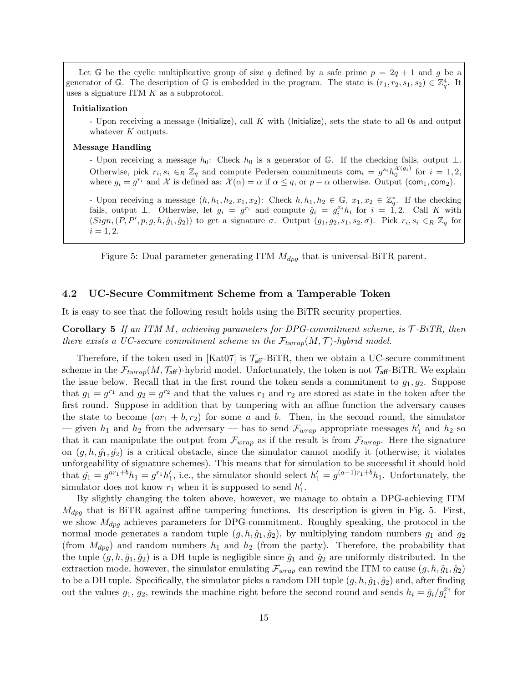Let G be the cyclic multiplicative group of size q defined by a safe prime  $p = 2q + 1$  and q be a generator of G. The description of G is embedded in the program. The state is  $(r_1, r_2, s_1, s_2) \in \mathbb{Z}_q^4$ . It uses a signature ITM K as a subprotocol.

#### Initialization

- Upon receiving a message (Initialize), call K with (Initialize), sets the state to all 0s and output whatever  $K$  outputs.

#### Message Handling

- Upon receiving a message  $h_0$ : Check  $h_0$  is a generator of G. If the checking fails, output  $\perp$ . Otherwise, pick  $r_i, s_i \in_R \mathbb{Z}_q$  and compute Pedersen commitments  $\mathsf{com}_i = g^{s_i} h_0^{\mathcal{X}(g_i)}$  for  $i = 1, 2,$ where  $g_i = g^{r_i}$  and X is defined as:  $\mathcal{X}(\alpha) = \alpha$  if  $\alpha \leq q$ , or  $p - \alpha$  otherwise. Output (com<sub>1</sub>, com<sub>2</sub>).

- Upon receiving a message  $(h, h_1, h_2, x_1, x_2)$ : Check  $h, h_1, h_2 \in \mathbb{G}$ ,  $x_1, x_2 \in \mathbb{Z}_q^*$ . If the checking fails, output  $\perp$ . Otherwise, let  $g_i = g^{r_i}$  and compute  $\hat{g}_i = g^{x_i}_i h_i$  for  $i = 1, 2$ . Call K with  $(Sign, (P, P', p, g, h, \hat{g}_1, \hat{g}_2))$  to get a signature  $\sigma$ . Output  $(g_1, g_2, s_1, s_2, \sigma)$ . Pick  $r_i, s_i \in_R \mathbb{Z}_q$  for  $i = 1, 2.$ 

Figure 5: Dual parameter generating ITM  $M_{dpq}$  that is universal-BiTR parent.

### 4.2 UC-Secure Commitment Scheme from a Tamperable Token

It is easy to see that the following result holds using the BiTR security properties.

**Corollary 5** If an ITM M, achieving parameters for DPG-commitment scheme, is  $\mathcal{T}\text{-}BiTR$ , then there exists a UC-secure commitment scheme in the  $\mathcal{F}_{twrap}(M, \mathcal{T})$ -hybrid model.

Therefore, if the token used in [Kat07] is  $\mathcal{T}_{\text{aff}}$ -BiTR, then we obtain a UC-secure commitment scheme in the  $\mathcal{F}_{twrap}(M, \mathcal{T}_{\text{aff}})$ -hybrid model. Unfortunately, the token is not  $\mathcal{T}_{\text{aff}}$ -BiTR. We explain the issue below. Recall that in the first round the token sends a commitment to  $g_1, g_2$ . Suppose that  $g_1 = g^{r_1}$  and  $g_2 = g^{r_2}$  and that the values  $r_1$  and  $r_2$  are stored as state in the token after the first round. Suppose in addition that by tampering with an affine function the adversary causes the state to become  $(ar_1 + b, r_2)$  for some a and b. Then, in the second round, the simulator — given  $h_1$  and  $h_2$  from the adversary — has to send  $\mathcal{F}_{wrap}$  appropriate messages  $h'_1$  and  $h_2$  so that it can manipulate the output from  $\mathcal{F}_{wrap}$  as if the result is from  $\mathcal{F}_{twrap}$ . Here the signature on  $(q, h, \hat{q}_1, \hat{q}_2)$  is a critical obstacle, since the simulator cannot modify it (otherwise, it violates unforgeability of signature schemes). This means that for simulation to be successful it should hold that  $\hat{g}_1 = g^{ar_1+b}h_1 = g^{r_1}h'_1$ , i.e., the simulator should select  $h'_1 = g^{(a-1)r_1+b}h_1$ . Unfortunately, the simulator does not know  $r_1$  when it is supposed to send  $h'_1$ .

By slightly changing the token above, however, we manage to obtain a DPG-achieving ITM  $M_{dpq}$  that is BiTR against affine tampering functions. Its description is given in Fig. 5. First, we show  $M_{dpq}$  achieves parameters for DPG-commitment. Roughly speaking, the protocol in the normal mode generates a random tuple  $(g, h, \hat{g}_1, \hat{g}_2)$ , by multiplying random numbers  $g_1$  and  $g_2$ (from  $M_{dpq}$ ) and random numbers  $h_1$  and  $h_2$  (from the party). Therefore, the probability that the tuple  $(g, h, \hat{g}_1, \hat{g}_2)$  is a DH tuple is negligible since  $\hat{g}_1$  and  $\hat{g}_2$  are uniformly distributed. In the extraction mode, however, the simulator emulating  $\mathcal{F}_{wrap}$  can rewind the ITM to cause  $(g, h, \hat{g}_1, \hat{g}_2)$ to be a DH tuple. Specifically, the simulator picks a random DH tuple  $(g, h, \hat{g}_1, \hat{g}_2)$  and, after finding out the values  $g_1, g_2$ , rewinds the machine right before the second round and sends  $h_i = \hat{g}_i/g_i^{x_i}$  for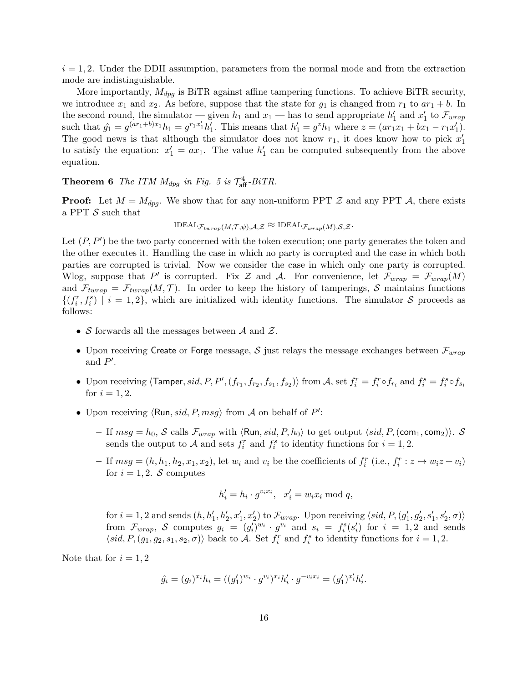$i = 1, 2$ . Under the DDH assumption, parameters from the normal mode and from the extraction mode are indistinguishable.

More importantly,  $M_{dpq}$  is BiTR against affine tampering functions. To achieve BiTR security, we introduce  $x_1$  and  $x_2$ . As before, suppose that the state for  $g_1$  is changed from  $r_1$  to  $ar_1 + b$ . In the second round, the simulator — given  $h_1$  and  $x_1$  — has to send appropriate  $h'_1$  and  $x'_1$  to  $\mathcal{F}_{wrap}$ such that  $\hat{g}_1 = g^{(ar_1+b)x_1}h_1 = g^{r_1x'_1}h'_1$ . This means that  $h'_1 = g^2h_1$  where  $z = (ar_1x_1 + bx_1 - r_1x'_1)$ . The good news is that although the simulator does not know  $r_1$ , it does know how to pick  $x_1'$ to satisfy the equation:  $x'_1 = ax_1$ . The value  $h'_1$  can be computed subsequently from the above equation.

**Theorem 6** The ITM  $M_{dpg}$  in Fig. 5 is  $\mathcal{T}_{\text{aff}}^4$ -BiTR.

**Proof:** Let  $M = M_{dpq}$ . We show that for any non-uniform PPT  $\mathcal{Z}$  and any PPT  $\mathcal{A}$ , there exists a PPT  $S$  such that

$$
\text{IDEAL}_{\mathcal{F}_{\text{turnap}}(M, \mathcal{T}, \psi), \mathcal{A}, \mathcal{Z}} \approx \text{IDEAL}_{\mathcal{F}_{\text{wrap}}(M), \mathcal{S}, \mathcal{Z}}.
$$

Let  $(P, P')$  be the two party concerned with the token execution; one party generates the token and the other executes it. Handling the case in which no party is corrupted and the case in which both parties are corrupted is trivial. Now we consider the case in which only one party is corrupted. Wlog, suppose that P' is corrupted. Fix Z and A. For convenience, let  $\mathcal{F}_{wrap} = \mathcal{F}_{wrap}(M)$ and  $\mathcal{F}_{twrap} = \mathcal{F}_{twrap}(M, \mathcal{T})$ . In order to keep the history of tamperings, S maintains functions  $\{(f_i^r, f_i^s) \mid i = 1, 2\}$ , which are initialized with identity functions. The simulator S proceeds as follows:

- S forwards all the messages between  $A$  and  $Z$ .
- Upon receiving Create or Forge message, S just relays the message exchanges between  $\mathcal{F}_{wrap}$ and  $P'$ .
- Upon receiving  $\langle$  Tamper, sid, P, P',  $(f_{r_1}, f_{r_2}, f_{s_1}, f_{s_2})\rangle$  from  $\mathcal{A}$ , set  $f_i^r = f_i^r \circ f_{r_i}$  and  $f_i^s = f_i^s \circ f_{s_i}$ for  $i = 1, 2$ .
- Upon receiving  $\langle$ Run, sid, P, msg $\rangle$  from A on behalf of P':
	- If  $msg = h_0$ , S calls  $\mathcal{F}_{wrap}$  with  $\langle Run, sid, P, h_0 \rangle$  to get output  $\langle sid, P, (com_1, com_2) \rangle$ . S sends the output to A and sets  $f_i^r$  and  $f_i^s$  to identity functions for  $i = 1, 2$ .
	- If  $msg = (h, h_1, h_2, x_1, x_2)$ , let  $w_i$  and  $v_i$  be the coefficients of  $f_i^r$  (i.e.,  $f_i^r : z \mapsto w_i z + v_i$ ) for  $i = 1, 2$ . S computes

$$
h_i' = h_i \cdot g^{v_i x_i}, \quad x_i' = w_i x_i \mod q,
$$

for  $i = 1, 2$  and sends  $(h, h'_1, h'_2, x'_1, x'_2)$  to  $\mathcal{F}_{wrap}$ . Upon receiving  $\langle sid, P, (g'_1, g'_2, s'_1, s'_2, \sigma) \rangle$ from  $\mathcal{F}_{wrap}$ , S computes  $g_i = (g'_i)^{w_i} \cdot g^{v_i}$  and  $s_i = f_i^s(s'_i)$  for  $i = 1, 2$  and sends  $\langle sid, P, (g_1, g_2, s_1, s_2, \sigma) \rangle$  back to A. Set  $f_i^r$  and  $f_i^s$  to identity functions for  $i = 1, 2$ .

Note that for  $i = 1, 2$ 

$$
\hat{g}_i = (g_i)^{x_i} h_i = ((g'_1)^{w_i} \cdot g^{v_i})^{x_i} h'_i \cdot g^{-v_i x_i} = (g'_1)^{x'_i} h'_i.
$$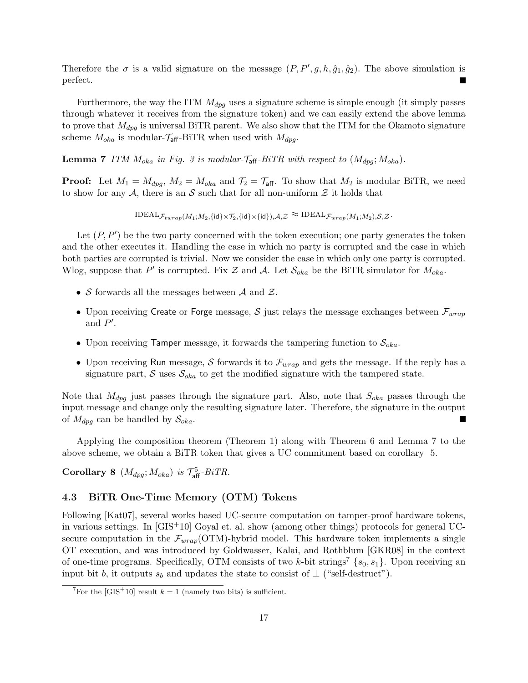Therefore the  $\sigma$  is a valid signature on the message  $(P, P', g, h, \hat{g}_1, \hat{g}_2)$ . The above simulation is perfect. П

Furthermore, the way the ITM  $M_{dpg}$  uses a signature scheme is simple enough (it simply passes through whatever it receives from the signature token) and we can easily extend the above lemma to prove that  $M_{dpq}$  is universal BiTR parent. We also show that the ITM for the Okamoto signature scheme  $M_{oka}$  is modular- $\mathcal{T}_{aff}$ -BiTR when used with  $M_{dpq}$ .

**Lemma 7** ITM  $M_{oka}$  in Fig. 3 is modular- $\mathcal{T}_{aff}$ -BiTR with respect to  $(M_{dpg}; M_{oka})$ .

**Proof:** Let  $M_1 = M_{dpg}$ ,  $M_2 = M_{oka}$  and  $\mathcal{T}_2 = \mathcal{T}_{aff}$ . To show that  $M_2$  is modular BiTR, we need to show for any  $A$ , there is an  $S$  such that for all non-uniform  $\mathcal Z$  it holds that

$$
\text{IDEAL}_{\mathcal{F}_{turnap}(M_1;M_2,\{\text{id}\}\times\mathcal{T}_2,\{\text{id}\}\times\{\text{id}\}),\mathcal{A},\mathcal{Z}} \approx \text{IDEAL}_{\mathcal{F}_{wrap}(M_1;M_2),\mathcal{S},\mathcal{Z}}.
$$

Let  $(P, P')$  be the two party concerned with the token execution; one party generates the token and the other executes it. Handling the case in which no party is corrupted and the case in which both parties are corrupted is trivial. Now we consider the case in which only one party is corrupted. Wlog, suppose that P' is corrupted. Fix  $\mathcal Z$  and  $\mathcal A$ . Let  $\mathcal S_{oka}$  be the BiTR simulator for  $M_{oka}$ .

- S forwards all the messages between  $A$  and  $Z$ .
- Upon receiving Create or Forge message, S just relays the message exchanges between  $\mathcal{F}_{wrap}$ and  $P'$ .
- Upon receiving Tamper message, it forwards the tampering function to  $S_{oka}$ .
- Upon receiving Run message, S forwards it to  $\mathcal{F}_{wrap}$  and gets the message. If the reply has a signature part, S uses  $\mathcal{S}_{oka}$  to get the modified signature with the tampered state.

Note that  $M_{dpq}$  just passes through the signature part. Also, note that  $S_{oka}$  passes through the input message and change only the resulting signature later. Therefore, the signature in the output of  $M_{dpq}$  can be handled by  $S_{oka}$ . **The Second Second** 

Applying the composition theorem (Theorem 1) along with Theorem 6 and Lemma 7 to the above scheme, we obtain a BiTR token that gives a UC commitment based on corollary 5.

Corollary 8  $(M_{dpg}; M_{oka})$  is  $\mathcal{T}_{\text{aff}}^5$ -BiTR.

# 4.3 BiTR One-Time Memory (OTM) Tokens

Following [Kat07], several works based UC-secure computation on tamper-proof hardware tokens, in various settings. In  $[GIS^+10]$  Goyal et. al. show (among other things) protocols for general UCsecure computation in the  $\mathcal{F}_{wrap}(\text{OTM})$ -hybrid model. This hardware token implements a single OT execution, and was introduced by Goldwasser, Kalai, and Rothblum [GKR08] in the context of one-time programs. Specifically, OTM consists of two k-bit strings<sup>7</sup>  $\{s_0, s_1\}$ . Upon receiving an input bit b, it outputs  $s_b$  and updates the state to consist of  $\perp$  ("self-destruct").

<sup>&</sup>lt;sup>7</sup>For the [GIS<sup>+</sup>10] result  $k = 1$  (namely two bits) is sufficient.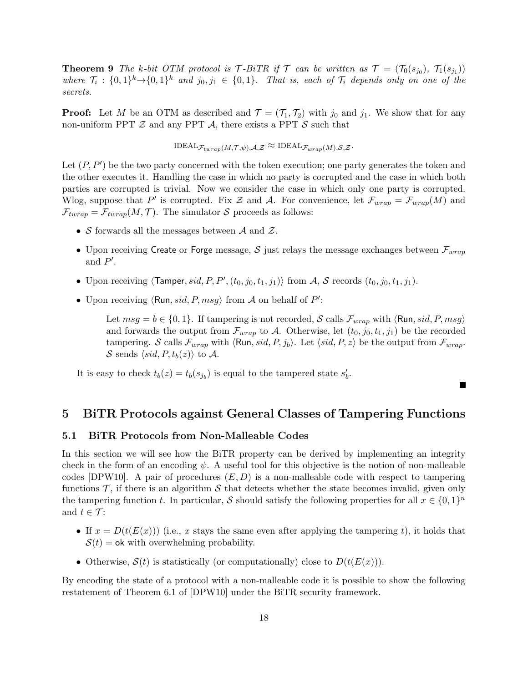**Theorem 9** The k-bit OTM protocol is  $\mathcal{T}$ -BiTR if  $\mathcal{T}$  can be written as  $\mathcal{T} = (\mathcal{T}_0(s_{j_0}), \ \mathcal{T}_1(s_{j_1}))$ where  $\mathcal{T}_i: \{0,1\}^k \to \{0,1\}^k$  and  $j_0, j_1 \in \{0,1\}$ . That is, each of  $\mathcal{T}_i$  depends only on one of the secrets.

**Proof:** Let M be an OTM as described and  $\mathcal{T} = (\mathcal{T}_1, \mathcal{T}_2)$  with  $j_0$  and  $j_1$ . We show that for any non-uniform PPT  $\mathcal Z$  and any PPT  $\mathcal A$ , there exists a PPT  $\mathcal S$  such that

 $\text{IDEAL}_{\mathcal{F}_{turnan}(M, \mathcal{T}, \psi), \mathcal{A}, \mathcal{Z}} \approx \text{IDEAL}_{\mathcal{F}_{wran}(M), \mathcal{S}, \mathcal{Z}}.$ 

Let  $(P, P')$  be the two party concerned with the token execution; one party generates the token and the other executes it. Handling the case in which no party is corrupted and the case in which both parties are corrupted is trivial. Now we consider the case in which only one party is corrupted. Wlog, suppose that P' is corrupted. Fix Z and A. For convenience, let  $\mathcal{F}_{wrap} = \mathcal{F}_{wrap}(M)$  and  $\mathcal{F}_{twrap} = \mathcal{F}_{twrap}(M, \mathcal{T})$ . The simulator S proceeds as follows:

- $\bullet$   $\mathcal S$  forwards all the messages between  $\mathcal A$  and  $\mathcal Z.$
- Upon receiving Create or Forge message, S just relays the message exchanges between  $\mathcal{F}_{wrap}$ and  $P'$ .
- Upon receiving  $\langle$ Tamper, sid, P, P',  $(t_0, j_0, t_1, j_1)$  from A, S records  $(t_0, j_0, t_1, j_1)$ .
- Upon receiving  $\langle$ Run, sid, P, msg $\rangle$  from A on behalf of P':

Let  $msg = b \in \{0,1\}$ . If tampering is not recorded, S calls  $\mathcal{F}_{wrap}$  with  $\langle Run, sid, P, msg \rangle$ and forwards the output from  $\mathcal{F}_{wrap}$  to A. Otherwise, let  $(t_0, j_0, t_1, j_1)$  be the recorded tampering. S calls  $\mathcal{F}_{wrap}$  with  $\langle \text{Run}, sid, P, j_b \rangle$ . Let  $\langle sid, P, z \rangle$  be the output from  $\mathcal{F}_{wrap}$ . S sends  $\langle sid, P, t_b(z)\rangle$  to A.

Г

It is easy to check  $t_b(z) = t_b(s_{j_b})$  is equal to the tampered state  $s'_b$ .

# 5 BiTR Protocols against General Classes of Tampering Functions

### 5.1 BiTR Protocols from Non-Malleable Codes

In this section we will see how the BiTR property can be derived by implementing an integrity check in the form of an encoding  $\psi$ . A useful tool for this objective is the notion of non-malleable codes [DPW10]. A pair of procedures  $(E, D)$  is a non-malleable code with respect to tampering functions  $\mathcal{T}$ , if there is an algorithm S that detects whether the state becomes invalid, given only the tampering function t. In particular, S should satisfy the following properties for all  $x \in \{0,1\}^n$ and  $t \in \mathcal{T}$ :

- If  $x = D(t(E(x)))$  (i.e., x stays the same even after applying the tampering t), it holds that  $S(t) =$  ok with overwhelming probability.
- Otherwise,  $S(t)$  is statistically (or computationally) close to  $D(t(E(x)))$ .

By encoding the state of a protocol with a non-malleable code it is possible to show the following restatement of Theorem 6.1 of [DPW10] under the BiTR security framework.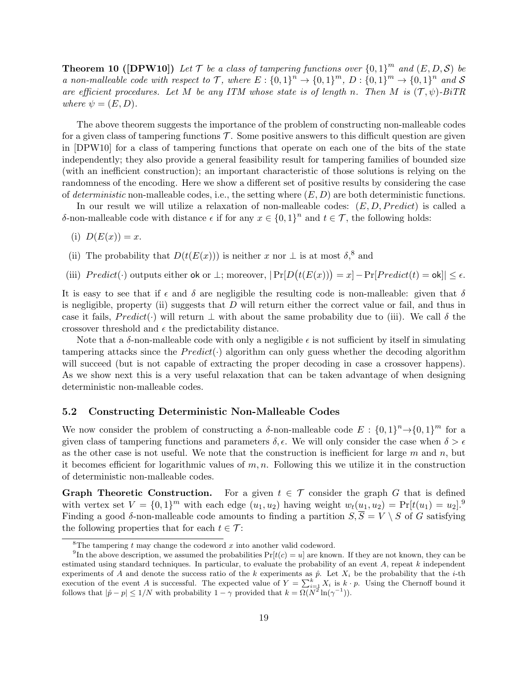**Theorem 10 ([DPW10])** Let  $\mathcal T$  be a class of tampering functions over  $\{0,1\}^m$  and  $(E, D, \mathcal S)$  be a non-malleable code with respect to T, where  $E: \{0,1\}^n \to \{0,1\}^m$ ,  $D: \{0,1\}^m \to \{0,1\}^n$  and S are efficient procedures. Let M be any ITM whose state is of length n. Then M is  $(\mathcal{T}, \psi)$ -BiTR where  $\psi = (E, D)$ .

The above theorem suggests the importance of the problem of constructing non-malleable codes for a given class of tampering functions  $\mathcal T$ . Some positive answers to this difficult question are given in [DPW10] for a class of tampering functions that operate on each one of the bits of the state independently; they also provide a general feasibility result for tampering families of bounded size (with an inefficient construction); an important characteristic of those solutions is relying on the randomness of the encoding. Here we show a different set of positive results by considering the case of deterministic non-malleable codes, i.e., the setting where  $(E, D)$  are both deterministic functions.

In our result we will utilize a relaxation of non-malleable codes:  $(E, D, Predict)$  is called a δ-non-malleable code with distance  $\epsilon$  if for any  $x \in \{0,1\}^n$  and  $t \in \mathcal{T}$ , the following holds:

- (i)  $D(E(x)) = x$ .
- (ii) The probability that  $D(t(E(x)))$  is neither x nor  $\perp$  is at most  $\delta$ <sup>8</sup>, and
- (iii)  $Predict(\cdot)$  outputs either ok or  $\bot$ ; moreover,  $|\Pr[D(t(E(x))) = x] \Pr[Predict(t) = \mathsf{ok}]] \le \epsilon$ .

It is easy to see that if  $\epsilon$  and  $\delta$  are negligible the resulting code is non-malleable: given that  $\delta$ is negligible, property (ii) suggests that  $D$  will return either the correct value or fail, and thus in case it fails,  $Predict(\cdot)$  will return  $\perp$  with about the same probability due to (iii). We call  $\delta$  the crossover threshold and  $\epsilon$  the predictability distance.

Note that a  $\delta$ -non-malleable code with only a negligible  $\epsilon$  is not sufficient by itself in simulating tampering attacks since the  $Predict(\cdot)$  algorithm can only guess whether the decoding algorithm will succeed (but is not capable of extracting the proper decoding in case a crossover happens). As we show next this is a very useful relaxation that can be taken advantage of when designing deterministic non-malleable codes.

### 5.2 Constructing Deterministic Non-Malleable Codes

We now consider the problem of constructing a  $\delta$ -non-malleable code  $E: \{0,1\}^n \rightarrow \{0,1\}^m$  for a given class of tampering functions and parameters  $\delta, \epsilon$ . We will only consider the case when  $\delta > \epsilon$ as the other case is not useful. We note that the construction is inefficient for large  $m$  and  $n$ , but it becomes efficient for logarithmic values of  $m, n$ . Following this we utilize it in the construction of deterministic non-malleable codes.

**Graph Theoretic Construction.** For a given  $t \in \mathcal{T}$  consider the graph G that is defined with vertex set  $V = \{0, 1\}^m$  with each edge  $(u_1, u_2)$  having weight  $w_t(u_1, u_2) = \Pr[t(u_1) = u_2]$ . Finding a good  $\delta$ -non-malleable code amounts to finding a partition  $S, \overline{S} = V \setminus S$  of G satisfying the following properties that for each  $t \in \mathcal{T}$ :

<sup>&</sup>lt;sup>8</sup>The tampering  $t$  may change the codeword  $x$  into another valid codeword.

<sup>&</sup>lt;sup>9</sup>In the above description, we assumed the probabilities  $Pr[t(c) = u]$  are known. If they are not known, they can be estimated using standard techniques. In particular, to evaluate the probability of an event  $A$ , repeat  $k$  independent experiments of A and denote the success ratio of the k experiments as  $\hat{p}$ . Let  $X_i$  be the probability that the *i*-th execution of the event A is successful. The expected value of  $Y = \sum_{i=1}^{k} X_i$  is  $k \cdot p$ . Using the Chernoff bound it follows that  $|\hat{p}-p| \leq 1/N$  with probability  $1-\gamma$  provided that  $k = \Omega(N^2 \ln(\gamma^{-1}))$ .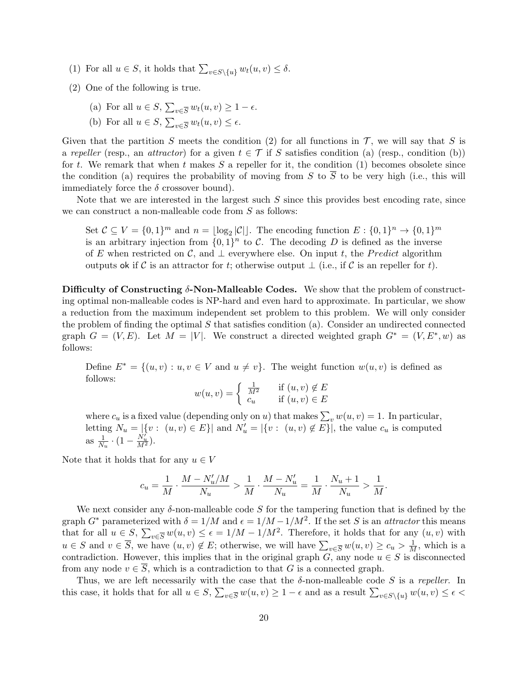- (1) For all  $u \in S$ , it holds that  $\sum_{v \in S \setminus \{u\}} w_t(u, v) \leq \delta$ .
- (2) One of the following is true.
	- (a) For all  $u \in S$ ,  $\sum_{v \in \overline{S}} w_t(u, v) \geq 1 \epsilon$ .
	- (b) For all  $u \in S$ ,  $\sum_{v \in \overline{S}} w_t(u, v) \leq \epsilon$ .

Given that the partition S meets the condition (2) for all functions in  $\mathcal{T}$ , we will say that S is a repeller (resp., an attractor) for a given  $t \in \mathcal{T}$  if S satisfies condition (a) (resp., condition (b)) for t. We remark that when t makes  $S$  a repeller for it, the condition (1) becomes obsolete since the condition (a) requires the probability of moving from S to  $\overline{S}$  to be very high (i.e., this will immediately force the  $\delta$  crossover bound).

Note that we are interested in the largest such  $S$  since this provides best encoding rate, since we can construct a non-malleable code from S as follows:

Set  $\mathcal{C} \subseteq V = \{0,1\}^m$  and  $n = \lfloor \log_2 |\mathcal{C}| \rfloor$ . The encoding function  $E: \{0,1\}^n \to \{0,1\}^m$ is an arbitrary injection from  $\{0,1\}^n$  to C. The decoding D is defined as the inverse of E when restricted on C, and  $\perp$  everywhere else. On input t, the Predict algorithm outputs ok if C is an attractor for t; otherwise output  $\perp$  (i.e., if C is an repeller for t).

Difficulty of Constructing  $\delta$ -Non-Malleable Codes. We show that the problem of constructing optimal non-malleable codes is NP-hard and even hard to approximate. In particular, we show a reduction from the maximum independent set problem to this problem. We will only consider the problem of finding the optimal  $S$  that satisfies condition (a). Consider an undirected connected graph  $G = (V, E)$ . Let  $M = |V|$ . We construct a directed weighted graph  $G^* = (V, E^*, w)$  as follows:

Define  $E^* = \{(u, v) : u, v \in V \text{ and } u \neq v\}$ . The weight function  $w(u, v)$  is defined as follows:

$$
w(u, v) = \begin{cases} \frac{1}{M^2} & \text{if } (u, v) \notin E \\ c_u & \text{if } (u, v) \in E \end{cases}
$$

where  $c_u$  is a fixed value (depending only on u) that makes  $\sum_v w(u, v) = 1$ . In particular, letting  $N_u = |\{v : (u, v) \in E\}|$  and  $N'_u = |\{v : (u, v) \notin E\}|$ , the value  $c_u$  is computed as  $\frac{1}{N_u} \cdot (1 - \frac{N_u'}{M^2}).$ 

Note that it holds that for any  $u \in V$ 

$$
c_u = \frac{1}{M} \cdot \frac{M-N'_u/M}{N_u} > \frac{1}{M} \cdot \frac{M-N'_u}{N_u} = \frac{1}{M} \cdot \frac{N_u+1}{N_u} > \frac{1}{M}.
$$

We next consider any  $\delta$ -non-malleable code S for the tampering function that is defined by the graph  $G^*$  parameterized with  $\delta = 1/M$  and  $\epsilon = 1/M - 1/M^2$ . If the set S is an *attractor* this means that for all  $u \in S$ ,  $\sum_{v \in \overline{S}} w(u, v) \le \epsilon = 1/M - 1/M^2$ . Therefore, it holds that for any  $(u, v)$  with  $u \in S$  and  $v \in \overline{S}$ , we have  $(u, v) \notin E$ ; otherwise, we will have  $\sum_{v \in \overline{S}} w(u, v) \ge c_u > \frac{1}{M}$ , which is a contradiction. However, this implies that in the original graph  $G$ , any node  $u \in S$  is disconnected from any node  $v \in \overline{S}$ , which is a contradiction to that G is a connected graph.

Thus, we are left necessarily with the case that the  $\delta$ -non-malleable code S is a repeller. In this case, it holds that for all  $u \in S$ ,  $\sum_{v \in \overline{S}} w(u, v) \ge 1 - \epsilon$  and as a result  $\sum_{v \in S \setminus \{u\}} w(u, v) \le \epsilon$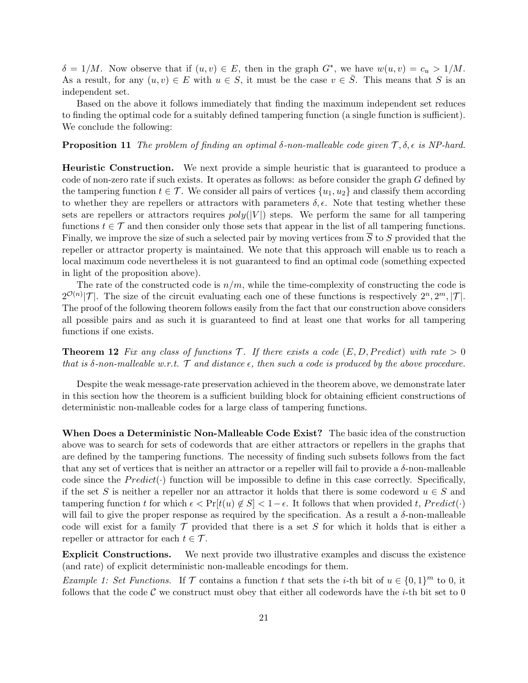$\delta = 1/M$ . Now observe that if  $(u, v) \in E$ , then in the graph  $G^*$ , we have  $w(u, v) = c_u > 1/M$ . As a result, for any  $(u, v) \in E$  with  $u \in S$ , it must be the case  $v \in \overline{S}$ . This means that S is an independent set.

Based on the above it follows immediately that finding the maximum independent set reduces to finding the optimal code for a suitably defined tampering function (a single function is sufficient). We conclude the following:

**Proposition 11** The problem of finding an optimal  $\delta$ -non-malleable code given  $\mathcal{T}, \delta, \epsilon$  is NP-hard.

Heuristic Construction. We next provide a simple heuristic that is guaranteed to produce a code of non-zero rate if such exists. It operates as follows: as before consider the graph G defined by the tampering function  $t \in \mathcal{T}$ . We consider all pairs of vertices  $\{u_1, u_2\}$  and classify them according to whether they are repellers or attractors with parameters  $\delta, \epsilon$ . Note that testing whether these sets are repellers or attractors requires  $poly(|V|)$  steps. We perform the same for all tampering functions  $t \in \mathcal{T}$  and then consider only those sets that appear in the list of all tampering functions. Finally, we improve the size of such a selected pair by moving vertices from S to S provided that the repeller or attractor property is maintained. We note that this approach will enable us to reach a local maximum code nevertheless it is not guaranteed to find an optimal code (something expected in light of the proposition above).

The rate of the constructed code is  $n/m$ , while the time-complexity of constructing the code is  $2^{\mathcal{O}(n)}|\mathcal{T}|$ . The size of the circuit evaluating each one of these functions is respectively  $2^n, 2^m, |\mathcal{T}|$ . The proof of the following theorem follows easily from the fact that our construction above considers all possible pairs and as such it is guaranteed to find at least one that works for all tampering functions if one exists.

**Theorem 12** Fix any class of functions  $\mathcal{T}$ . If there exists a code  $(E, D, Predict)$  with rate  $> 0$ that is  $\delta$ -non-malleable w.r.t.  $\mathcal T$  and distance  $\epsilon$ , then such a code is produced by the above procedure.

Despite the weak message-rate preservation achieved in the theorem above, we demonstrate later in this section how the theorem is a sufficient building block for obtaining efficient constructions of deterministic non-malleable codes for a large class of tampering functions.

When Does a Deterministic Non-Malleable Code Exist? The basic idea of the construction above was to search for sets of codewords that are either attractors or repellers in the graphs that are defined by the tampering functions. The necessity of finding such subsets follows from the fact that any set of vertices that is neither an attractor or a repeller will fail to provide a  $\delta$ -non-malleable code since the  $Predict(\cdot)$  function will be impossible to define in this case correctly. Specifically, if the set S is neither a repeller nor an attractor it holds that there is some codeword  $u \in S$  and tampering function t for which  $\epsilon < \Pr[t(u) \notin S] < 1-\epsilon$ . It follows that when provided t,  $Predict(\cdot)$ will fail to give the proper response as required by the specification. As a result a  $\delta$ -non-malleable code will exist for a family  $\mathcal T$  provided that there is a set S for which it holds that is either a repeller or attractor for each  $t \in \mathcal{T}$ .

Explicit Constructions. We next provide two illustrative examples and discuss the existence (and rate) of explicit deterministic non-malleable encodings for them.

*Example 1: Set Functions.* If  $\mathcal T$  contains a function t that sets the *i*-th bit of  $u \in \{0,1\}^m$  to 0, it follows that the code  $C$  we construct must obey that either all codewords have the *i*-th bit set to 0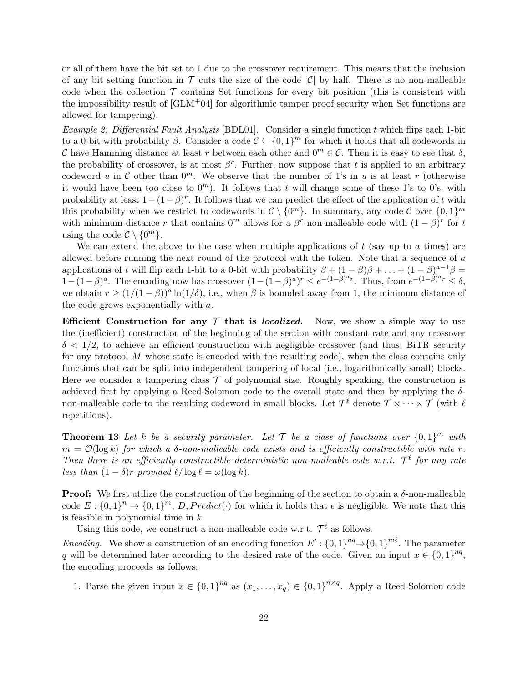or all of them have the bit set to 1 due to the crossover requirement. This means that the inclusion of any bit setting function in  $\mathcal T$  cuts the size of the code  $|\mathcal C|$  by half. There is no non-malleable code when the collection  $\mathcal T$  contains Set functions for every bit position (this is consistent with the impossibility result of  $\text{[GLM}^+04]$  for algorithmic tamper proof security when Set functions are allowed for tampering).

Example 2: Differential Fault Analysis [BDL01]. Consider a single function t which flips each 1-bit to a 0-bit with probability  $\beta$ . Consider a code  $\mathcal{C} \subseteq \{0,1\}^m$  for which it holds that all codewords in C have Hamming distance at least r between each other and  $0^m \in \mathcal{C}$ . Then it is easy to see that  $\delta$ , the probability of crossover, is at most  $\beta^r$ . Further, now suppose that t is applied to an arbitrary codeword u in C other than  $0^m$ . We observe that the number of 1's in u is at least r (otherwise it would have been too close to  $0<sup>m</sup>$ ). It follows that t will change some of these 1's to 0's, with probability at least  $1-(1-\beta)^r$ . It follows that we can predict the effect of the application of t with this probability when we restrict to codewords in  $\mathcal{C} \setminus \{0^m\}$ . In summary, any code  $\mathcal{C}$  over  $\{0,1\}^m$ with minimum distance r that contains  $0^m$  allows for a  $\beta^r$ -non-malleable code with  $(1 - \beta)^r$  for t using the code  $\mathcal{C} \setminus \{0^m\}.$ 

We can extend the above to the case when multiple applications of  $t$  (say up to  $a$  times) are allowed before running the next round of the protocol with the token. Note that a sequence of a applications of t will flip each 1-bit to a 0-bit with probability  $\beta + (1 - \beta)\beta + \ldots + (1 - \beta)^{a-1}\beta =$  $1-(1-\beta)^a$ . The encoding now has crossover  $(1-(1-\beta)^a)^r \leq e^{-(1-\beta)^a r}$ . Thus, from  $e^{-(1-\beta)^a r} \leq \delta$ , we obtain  $r \geq (1/(1-\beta))^a \ln(1/\delta)$ , i.e., when  $\beta$  is bounded away from 1, the minimum distance of the code grows exponentially with a.

Efficient Construction for any  $\mathcal T$  that is *localized*. Now, we show a simple way to use the (inefficient) construction of the beginning of the section with constant rate and any crossover  $\delta < 1/2$ , to achieve an efficient construction with negligible crossover (and thus, BiTR security for any protocol  $M$  whose state is encoded with the resulting code), when the class contains only functions that can be split into independent tampering of local (i.e., logarithmically small) blocks. Here we consider a tampering class  $\mathcal T$  of polynomial size. Roughly speaking, the construction is achieved first by applying a Reed-Solomon code to the overall state and then by applying the  $\delta$ non-malleable code to the resulting codeword in small blocks. Let  $\mathcal{T}^\ell$  denote  $\mathcal{T} \times \cdots \times \mathcal{T}$  (with  $\ell$ repetitions).

**Theorem 13** Let k be a security parameter. Let  $\mathcal{T}$  be a class of functions over  $\{0,1\}^m$  with  $m = \mathcal{O}(\log k)$  for which a  $\delta$ -non-malleable code exists and is efficiently constructible with rate r. Then there is an efficiently constructible deterministic non-malleable code w.r.t.  $\mathcal{T}^{\ell}$  for any rate less than  $(1 - \delta)r$  provided  $\ell / \log \ell = \omega(\log k)$ .

**Proof:** We first utilize the construction of the beginning of the section to obtain a  $\delta$ -non-malleable code  $E: \{0,1\}^n \to \{0,1\}^m$ , D, Predict(.) for which it holds that  $\epsilon$  is negligible. We note that this is feasible in polynomial time in  $k$ .

Using this code, we construct a non-malleable code w.r.t.  $\mathcal{T}^{\ell}$  as follows.

*Encoding.* We show a construction of an encoding function  $E' : \{0,1\}^{nq} \rightarrow \{0,1\}^{m\ell}$ . The parameter q will be determined later according to the desired rate of the code. Given an input  $x \in \{0,1\}^{nq}$ , the encoding proceeds as follows:

1. Parse the given input  $x \in \{0,1\}^{nq}$  as  $(x_1,\ldots,x_q) \in \{0,1\}^{n \times q}$ . Apply a Reed-Solomon code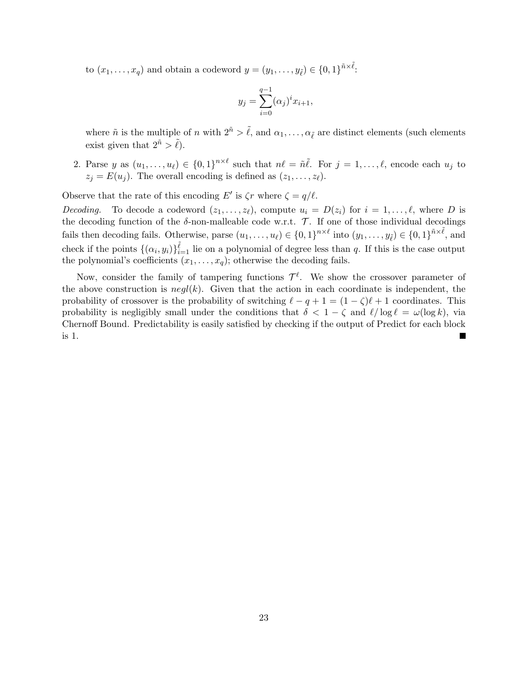to  $(x_1, \ldots, x_q)$  and obtain a codeword  $y = (y_1, \ldots, y_{\tilde{\ell}}) \in \{0, 1\}^{\tilde{n} \times \tilde{\ell}}$ :

$$
y_j = \sum_{i=0}^{q-1} (\alpha_j)^i x_{i+1},
$$

where  $\tilde{n}$  is the multiple of n with  $2^{\tilde{n}} > \tilde{\ell}$ , and  $\alpha_1, \ldots, \alpha_{\tilde{\ell}}$  are distinct elements (such elements exist given that  $2^{\tilde{n}} > \tilde{\ell}$ ).

2. Parse y as  $(u_1,\ldots,u_\ell) \in \{0,1\}^{n\times\ell}$  such that  $n\ell = \tilde{n}\tilde{\ell}$ . For  $j = 1,\ldots,\ell$ , encode each  $u_j$  to  $z_j = E(u_j)$ . The overall encoding is defined as  $(z_1, \ldots, z_\ell)$ .

Observe that the rate of this encoding E' is  $\zeta r$  where  $\zeta = q/\ell$ .

*Decoding.* To decode a codeword  $(z_1, \ldots, z_\ell)$ , compute  $u_i = D(z_i)$  for  $i = 1, \ldots, \ell$ , where D is the decoding function of the  $\delta$ -non-malleable code w.r.t.  $\mathcal{T}$ . If one of those individual decodings fails then decoding fails. Otherwise, parse  $(u_1, \ldots, u_\ell) \in \{0, 1\}^{n \times \ell}$  into  $(y_1, \ldots, y_{\tilde{\ell}}) \in \{0, 1\}^{\tilde{n} \times \tilde{\ell}}$ , and check if the points  $\{(\alpha_i, y_i)\}_{i=1}^{\tilde{\ell}}$  lie on a polynomial of degree less than q. If this is the case output the polynomial's coefficients  $(x_1, \ldots, x_q)$ ; otherwise the decoding fails.

Now, consider the family of tampering functions  $\mathcal{T}^{\ell}$ . We show the crossover parameter of the above construction is  $negl(k)$ . Given that the action in each coordinate is independent, the probability of crossover is the probability of switching  $\ell - q + 1 = (1 - \zeta)\ell + 1$  coordinates. This probability is negligibly small under the conditions that  $\delta < 1 - \zeta$  and  $\ell / \log \ell = \omega(\log k)$ , via Chernoff Bound. Predictability is easily satisfied by checking if the output of Predict for each block is 1. ш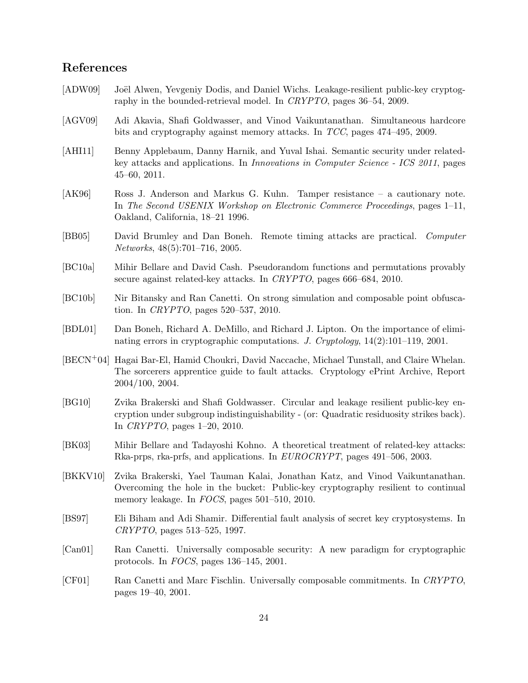# References

- [ADW09] Joël Alwen, Yevgeniy Dodis, and Daniel Wichs. Leakage-resilient public-key cryptography in the bounded-retrieval model. In CRYPTO, pages 36–54, 2009.
- [AGV09] Adi Akavia, Shafi Goldwasser, and Vinod Vaikuntanathan. Simultaneous hardcore bits and cryptography against memory attacks. In TCC, pages 474–495, 2009.
- [AHI11] Benny Applebaum, Danny Harnik, and Yuval Ishai. Semantic security under relatedkey attacks and applications. In Innovations in Computer Science - ICS 2011, pages 45–60, 2011.
- [AK96] Ross J. Anderson and Markus G. Kuhn. Tamper resistance a cautionary note. In The Second USENIX Workshop on Electronic Commerce Proceedings, pages 1–11, Oakland, California, 18–21 1996.
- [BB05] David Brumley and Dan Boneh. Remote timing attacks are practical. Computer Networks, 48(5):701–716, 2005.
- [BC10a] Mihir Bellare and David Cash. Pseudorandom functions and permutations provably secure against related-key attacks. In CRYPTO, pages 666–684, 2010.
- [BC10b] Nir Bitansky and Ran Canetti. On strong simulation and composable point obfuscation. In CRYPTO, pages 520–537, 2010.
- [BDL01] Dan Boneh, Richard A. DeMillo, and Richard J. Lipton. On the importance of eliminating errors in cryptographic computations. J. Cryptology, 14(2):101–119, 2001.
- [BECN+04] Hagai Bar-El, Hamid Choukri, David Naccache, Michael Tunstall, and Claire Whelan. The sorcerers apprentice guide to fault attacks. Cryptology ePrint Archive, Report 2004/100, 2004.
- [BG10] Zvika Brakerski and Shafi Goldwasser. Circular and leakage resilient public-key encryption under subgroup indistinguishability - (or: Quadratic residuosity strikes back). In CRYPTO, pages 1–20, 2010.
- [BK03] Mihir Bellare and Tadayoshi Kohno. A theoretical treatment of related-key attacks: Rka-prps, rka-prfs, and applications. In EUROCRYPT, pages 491–506, 2003.
- [BKKV10] Zvika Brakerski, Yael Tauman Kalai, Jonathan Katz, and Vinod Vaikuntanathan. Overcoming the hole in the bucket: Public-key cryptography resilient to continual memory leakage. In FOCS, pages 501–510, 2010.
- [BS97] Eli Biham and Adi Shamir. Differential fault analysis of secret key cryptosystems. In CRYPTO, pages 513–525, 1997.
- [Can01] Ran Canetti. Universally composable security: A new paradigm for cryptographic protocols. In FOCS, pages 136–145, 2001.
- [CF01] Ran Canetti and Marc Fischlin. Universally composable commitments. In CRYPTO, pages 19–40, 2001.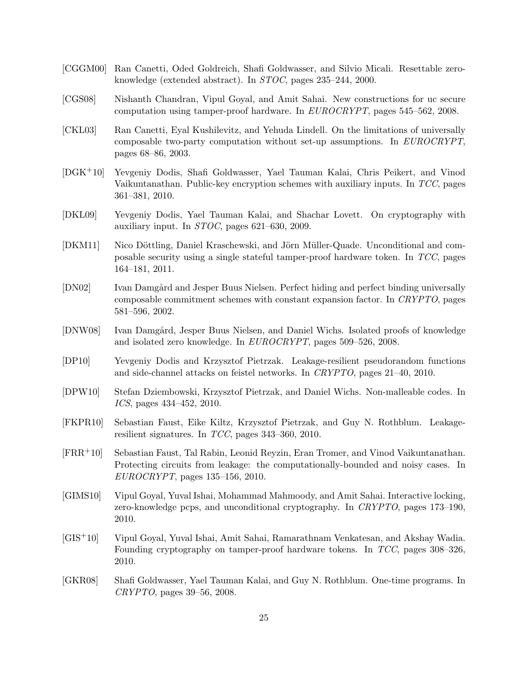- [CGGM00] Ran Canetti, Oded Goldreich, Shafi Goldwasser, and Silvio Micali. Resettable zeroknowledge (extended abstract). In STOC, pages 235–244, 2000.
- [CGS08] Nishanth Chandran, Vipul Goyal, and Amit Sahai. New constructions for uc secure computation using tamper-proof hardware. In EUROCRYPT, pages 545–562, 2008.
- [CKL03] Ran Canetti, Eyal Kushilevitz, and Yehuda Lindell. On the limitations of universally composable two-party computation without set-up assumptions. In EUROCRYPT, pages 68–86, 2003.
- [DGK+10] Yevgeniy Dodis, Shafi Goldwasser, Yael Tauman Kalai, Chris Peikert, and Vinod Vaikuntanathan. Public-key encryption schemes with auxiliary inputs. In TCC, pages 361–381, 2010.
- [DKL09] Yevgeniy Dodis, Yael Tauman Kalai, and Shachar Lovett. On cryptography with auxiliary input. In STOC, pages 621–630, 2009.
- [DKM11] Nico Döttling, Daniel Kraschewski, and Jörn Müller-Quade. Unconditional and composable security using a single stateful tamper-proof hardware token. In TCC, pages 164–181, 2011.
- [DN02] Ivan Damgård and Jesper Buus Nielsen. Perfect hiding and perfect binding universally composable commitment schemes with constant expansion factor. In CRYPTO, pages 581–596, 2002.
- [DNW08] Ivan Damgård, Jesper Buus Nielsen, and Daniel Wichs. Isolated proofs of knowledge and isolated zero knowledge. In EUROCRYPT, pages 509–526, 2008.
- [DP10] Yevgeniy Dodis and Krzysztof Pietrzak. Leakage-resilient pseudorandom functions and side-channel attacks on feistel networks. In CRYPTO, pages 21–40, 2010.
- [DPW10] Stefan Dziembowski, Krzysztof Pietrzak, and Daniel Wichs. Non-malleable codes. In ICS, pages 434–452, 2010.
- [FKPR10] Sebastian Faust, Eike Kiltz, Krzysztof Pietrzak, and Guy N. Rothblum. Leakageresilient signatures. In  $TCC$ , pages 343–360, 2010.
- [FRR+10] Sebastian Faust, Tal Rabin, Leonid Reyzin, Eran Tromer, and Vinod Vaikuntanathan. Protecting circuits from leakage: the computationally-bounded and noisy cases. In  $EUROCRYPT$ , pages 135–156, 2010.
- [GIMS10] Vipul Goyal, Yuval Ishai, Mohammad Mahmoody, and Amit Sahai. Interactive locking, zero-knowledge pcps, and unconditional cryptography. In CRYPTO, pages 173–190, 2010.
- [GIS+10] Vipul Goyal, Yuval Ishai, Amit Sahai, Ramarathnam Venkatesan, and Akshay Wadia. Founding cryptography on tamper-proof hardware tokens. In TCC, pages 308–326, 2010.
- [GKR08] Shafi Goldwasser, Yael Tauman Kalai, and Guy N. Rothblum. One-time programs. In CRYPTO, pages 39–56, 2008.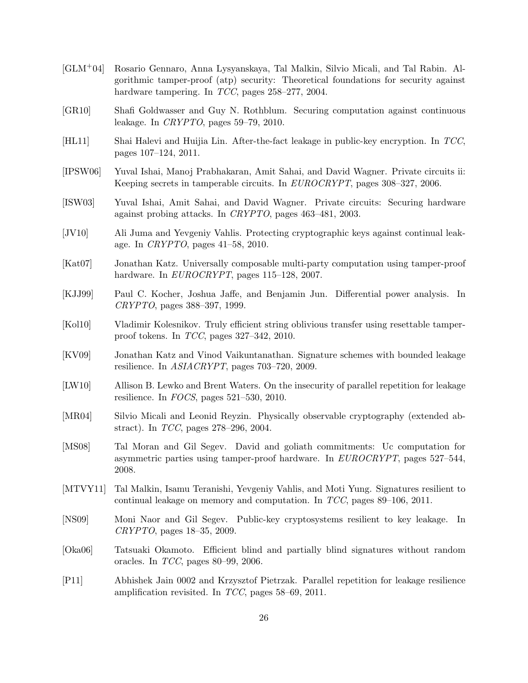- [GLM+04] Rosario Gennaro, Anna Lysyanskaya, Tal Malkin, Silvio Micali, and Tal Rabin. Algorithmic tamper-proof (atp) security: Theoretical foundations for security against hardware tampering. In TCC, pages 258–277, 2004.
- [GR10] Shafi Goldwasser and Guy N. Rothblum. Securing computation against continuous leakage. In  $CRYPTO$ , pages 59–79, 2010.
- [HL11] Shai Halevi and Huijia Lin. After-the-fact leakage in public-key encryption. In TCC, pages 107–124, 2011.
- [IPSW06] Yuval Ishai, Manoj Prabhakaran, Amit Sahai, and David Wagner. Private circuits ii: Keeping secrets in tamperable circuits. In EUROCRYPT, pages 308–327, 2006.
- [ISW03] Yuval Ishai, Amit Sahai, and David Wagner. Private circuits: Securing hardware against probing attacks. In CRYPTO, pages 463–481, 2003.
- [JV10] Ali Juma and Yevgeniy Vahlis. Protecting cryptographic keys against continual leakage. In CRYPTO, pages 41–58, 2010.
- [Kat07] Jonathan Katz. Universally composable multi-party computation using tamper-proof hardware. In  $EUROCRYPT$ , pages 115–128, 2007.
- [KJJ99] Paul C. Kocher, Joshua Jaffe, and Benjamin Jun. Differential power analysis. In CRYPTO, pages 388–397, 1999.
- [Kol10] Vladimir Kolesnikov. Truly efficient string oblivious transfer using resettable tamperproof tokens. In TCC, pages 327–342, 2010.
- [KV09] Jonathan Katz and Vinod Vaikuntanathan. Signature schemes with bounded leakage resilience. In ASIACRYPT, pages 703–720, 2009.
- [LW10] Allison B. Lewko and Brent Waters. On the insecurity of parallel repetition for leakage resilience. In  $FOCS$ , pages  $521-530$ ,  $2010$ .
- [MR04] Silvio Micali and Leonid Reyzin. Physically observable cryptography (extended abstract). In TCC, pages 278–296, 2004.
- [MS08] Tal Moran and Gil Segev. David and goliath commitments: Uc computation for asymmetric parties using tamper-proof hardware. In EUROCRYPT, pages 527–544, 2008.
- [MTVY11] Tal Malkin, Isamu Teranishi, Yevgeniy Vahlis, and Moti Yung. Signatures resilient to continual leakage on memory and computation. In TCC, pages 89–106, 2011.
- [NS09] Moni Naor and Gil Segev. Public-key cryptosystems resilient to key leakage. In CRYPTO, pages 18–35, 2009.
- [Oka06] Tatsuaki Okamoto. Efficient blind and partially blind signatures without random oracles. In TCC, pages 80–99, 2006.
- [P11] Abhishek Jain 0002 and Krzysztof Pietrzak. Parallel repetition for leakage resilience amplification revisited. In TCC, pages 58–69, 2011.